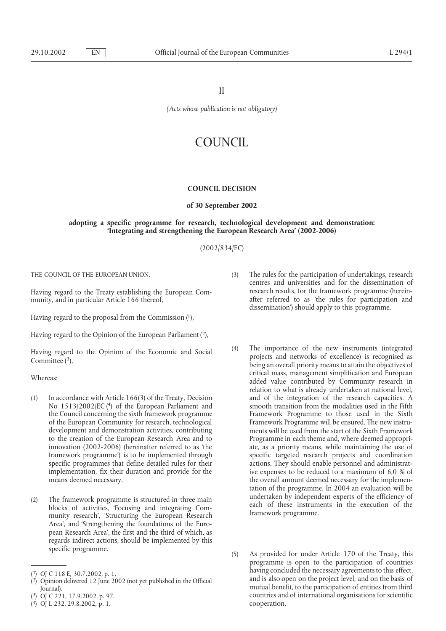II

*(Acts whose publication is not obligatory)*

# COUNCIL

#### **COUNCIL DECISION**

## **of 30 September 2002**

## **adopting a specific programme for research, technological development and demonstration: 'Integrating and strengthening the European Research Area' (2002-2006)**

(2002/834/EC)

THE COUNCIL OF THE EUROPEAN UNION,

Having regard to the Treaty establishing the European Community, and in particular Article 166 thereof,

Having regard to the proposal from the Commission (1),

Having regard to the Opinion of the European Parliament (2),

Having regard to the Opinion of the Economic and Social Committee  $(3)$ ,

Whereas:

- (1) In accordance with Article 166(3) of the Treaty, Decision No 1513/2002/EC (4) of the European Parliament and the Council concerning the sixth framework programme of the European Community for research, technological development and demonstration activities, contributing to the creation of the European Research Area and to innovation (2002-2006) (hereinafter referred to as 'the framework programme') is to be implemented through specific programmes that define detailed rules for their implementation, fix their duration and provide for the means deemed necessary.
- (2) The framework programme is structured in three main blocks of activities, 'Focusing and integrating Community research', 'Structuring the European Research Area', and 'Strengthening the foundations of the European Research Area', the first and the third of which, as regards indirect actions, should be implemented by this specific programme.

(2) Opinion delivered 12 June 2002 (not yet published in the Official Journal).

- (3) The rules for the participation of undertakings, research centres and universities and for the dissemination of research results, for the framework programme (hereinafter referred to as 'the rules for participation and dissemination') should apply to this programme.
- (4) The importance of the new instruments (integrated projects and networks of excellence) is recognised as being an overall priority means to attain the objectives of critical mass, management simplification and European added value contributed by Community research in relation to what is already undertaken at national level, and of the integration of the research capacities. A smooth transition from the modalities used in the Fifth Framework Programme to those used in the Sixth Framework Programme will be ensured. The new instruments will be used from the start of the Sixth Framework Programme in each theme and, where deemed appropriate, as a priority means, while maintaining the use of specific targeted research projects and coordination actions. They should enable personnel and administrative expenses to be reduced to a maximum of 6,0 % of the overall amount deemed necessary for the implementation of the programme. In 2004 an evaluation will be undertaken by independent experts of the efficiency of each of these instruments in the execution of the framework programme.
- (5) As provided for under Article 170 of the Treaty, this programme is open to the participation of countries having concluded the necessary agreements to this effect, and is also open on the project level, and on the basis of mutual benefit, to the participation of entities from third countries and of international organisations for scientific cooperation.

<sup>(1)</sup> OJ C 118 E, 30.7.2002, p. 1.

<sup>(</sup>3) OJ C 221, 17.9.2002, p. 97.

<sup>(4)</sup> OJ L 232, 29.8.2002, p. 1.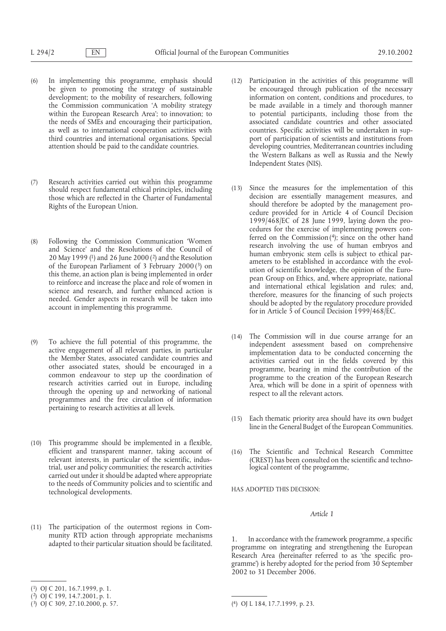- (6) In implementing this programme, emphasis should be given to promoting the strategy of sustainable development; to the mobility of researchers, following the Commission communication 'A mobility strategy within the European Research Area'; to innovation; to the needs of SMEs and encouraging their participation, as well as to international cooperation activities with third countries and international organisations. Special attention should be paid to the candidate countries.
- (7) Research activities carried out within this programme should respect fundamental ethical principles, including those which are reflected in the Charter of Fundamental Rights of the European Union.
- (8) Following the Commission Communication 'Women and Science' and the Resolutions of the Council of 20 May 1999 (1) and 26 June 2000 (2) and the Resolution of the European Parliament of 3 February 2000 (3) on this theme, an action plan is being implemented in order to reinforce and increase the place and role of women in science and research, and further enhanced action is needed. Gender aspects in research will be taken into account in implementing this programme.
- (9) To achieve the full potential of this programme, the active engagement of all relevant parties, in particular the Member States, associated candidate countries and other associated states, should be encouraged in a common endeavour to step up the coordination of research activities carried out in Europe, including through the opening up and networking of national programmes and the free circulation of information pertaining to research activities at all levels.
- (10) This programme should be implemented in a flexible, efficient and transparent manner, taking account of relevant interests, in particular of the scientific, industrial, user and policy communities; the research activities carried out under it should be adapted where appropriate to the needs of Community policies and to scientific and technological developments.
- (11) The participation of the outermost regions in Community RTD action through appropriate mechanisms adapted to their particular situation should be facilitated.
- (12) Participation in the activities of this programme will be encouraged through publication of the necessary information on content, conditions and procedures, to be made available in a timely and thorough manner to potential participants, including those from the associated candidate countries and other associated countries. Specific activities will be undertaken in support of participation of scientists and institutions from developing countries, Mediterranean countries including the Western Balkans as well as Russia and the Newly Independent States (NIS).
- (13) Since the measures for the implementation of this decision are essentially management measures, and should therefore be adopted by the management procedure provided for in Article 4 of Council Decision 1999/468/EC of 28 June 1999, laying down the procedures for the exercise of implementing powers conferred on the Commission  $(4)$ ; since on the other hand research involving the use of human embryos and human embryonic stem cells is subject to ethical parameters to be established in accordance with the evolution of scientific knowledge, the opinion of the European Group on Ethics, and, where appropriate, national and international ethical legislation and rules; and, therefore, measures for the financing of such projects should be adopted by the regulatory procedure provided for in Article 5 of Council Decision 1999/468/EC.
- (14) The Commission will in due course arrange for an independent assessment based on comprehensive implementation data to be conducted concerning the activities carried out in the fields covered by this programme, bearing in mind the contribution of the programme to the creation of the European Research Area, which will be done in a spirit of openness with respect to all the relevant actors.
- (15) Each thematic priority area should have its own budget line in the General Budget of the European Communities.
- (16) The Scientific and Technical Research Committee (CREST) has been consulted on the scientific and technological content of the programme,

HAS ADOPTED THIS DECISION:

# *Article 1*

1. In accordance with the framework programme, a specific programme on integrating and strengthening the European Research Area (hereinafter referred to as 'the specific programme') is hereby adopted for the period from 30 September 2002 to 31 December 2006.

<sup>(1)</sup> OJ C 201, 16.7.1999, p. 1.

<sup>(</sup>2) OJ C 199, 14.7.2001, p. 1.

 $(3)$  OJ C 309, 27.10.2000, p. 57.

<sup>(4)</sup> OJ L 184, 17.7.1999, p. 23.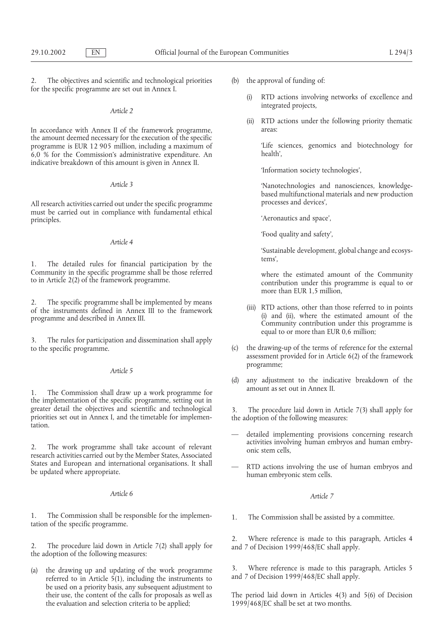2. The objectives and scientific and technological priorities for the specific programme are set out in Annex I.

## *Article 2*

In accordance with Annex II of the framework programme, the amount deemed necessary for the execution of the specific programme is EUR 12 905 million, including a maximum of 6,0 % for the Commission's administrative expenditure. An indicative breakdown of this amount is given in Annex II.

#### *Article 3*

All research activities carried out under the specific programme must be carried out in compliance with fundamental ethical principles.

## *Article 4*

1. The detailed rules for financial participation by the Community in the specific programme shall be those referred to in Article 2(2) of the framework programme.

2. The specific programme shall be implemented by means of the instruments defined in Annex III to the framework programme and described in Annex III.

3. The rules for participation and dissemination shall apply to the specific programme.

#### *Article 5*

1. The Commission shall draw up a work programme for the implementation of the specific programme, setting out in greater detail the objectives and scientific and technological priorities set out in Annex I, and the timetable for implementation.

2. The work programme shall take account of relevant research activities carried out by the Member States, Associated States and European and international organisations. It shall be updated where appropriate.

#### *Article 6*

1. The Commission shall be responsible for the implementation of the specific programme.

2. The procedure laid down in Article 7(2) shall apply for the adoption of the following measures:

(a) the drawing up and updating of the work programme referred to in Article 5(1), including the instruments to be used on a priority basis, any subsequent adjustment to their use, the content of the calls for proposals as well as the evaluation and selection criteria to be applied;

- (b) the approval of funding of:
	- (i) RTD actions involving networks of excellence and integrated projects,
	- (ii) RTD actions under the following priority thematic areas:

'Life sciences, genomics and biotechnology for health',

'Information society technologies',

'Nanotechnologies and nanosciences, knowledgebased multifunctional materials and new production processes and devices',

'Aeronautics and space',

'Food quality and safety',

'Sustainable development, global change and ecosystems',

where the estimated amount of the Community contribution under this programme is equal to or more than EUR 1,5 million,

- (iii) RTD actions, other than those referred to in points (i) and (ii), where the estimated amount of the Community contribution under this programme is equal to or more than EUR 0,6 million;
- (c) the drawing-up of the terms of reference for the external assessment provided for in Article 6(2) of the framework programme;
- (d) any adjustment to the indicative breakdown of the amount as set out in Annex II.

The procedure laid down in Article  $7(3)$  shall apply for the adoption of the following measures:

- detailed implementing provisions concerning research activities involving human embryos and human embryonic stem cells,
- RTD actions involving the use of human embryos and human embryonic stem cells.

## *Article 7*

1. The Commission shall be assisted by a committee.

2. Where reference is made to this paragraph, Articles 4 and 7 of Decision 1999/468/EC shall apply.

3. Where reference is made to this paragraph, Articles 5 and 7 of Decision 1999/468/EC shall apply.

The period laid down in Articles 4(3) and 5(6) of Decision 1999/468/EC shall be set at two months.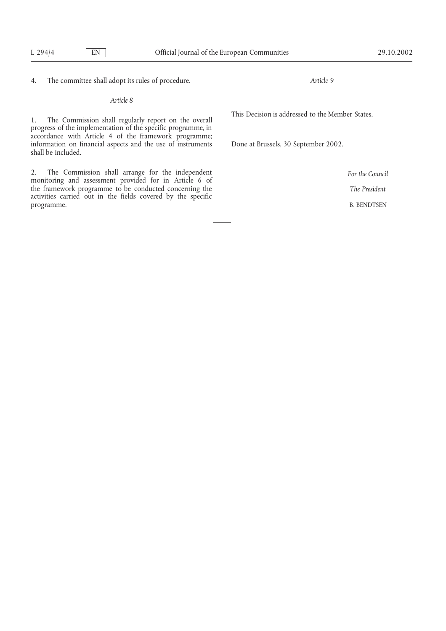4. The committee shall adopt its rules of procedure.

*Article 8*

1. The Commission shall regularly report on the overall progress of the implementation of the specific programme, in accordance with Article 4 of the framework programme; information on financial aspects and the use of instruments shall be included.

2. The Commission shall arrange for the independent monitoring and assessment provided for in Article 6 of the framework programme to be conducted concerning the activities carried out in the fields covered by the specific programme.

*Article 9*

This Decision is addressed to the Member States.

Done at Brussels, 30 September 2002.

*For the Council The President*

B. BENDTSEN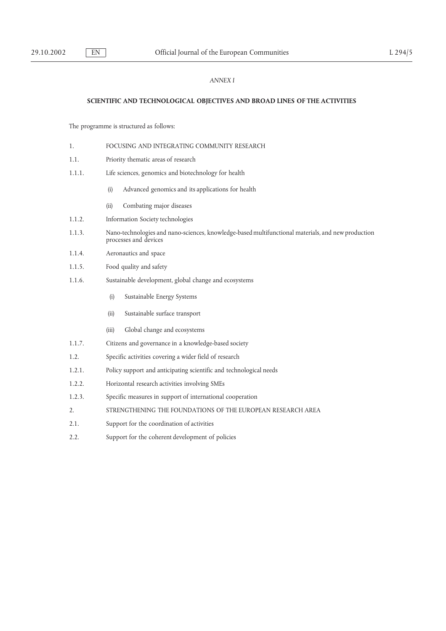# *ANNEX I*

#### **SCIENTIFIC AND TECHNOLOGICAL OBJECTIVES AND BROAD LINES OF THE ACTIVITIES**

The programme is structured as follows:

- 1. FOCUSING AND INTEGRATING COMMUNITY RESEARCH
- 1.1. Priority thematic areas of research
- 1.1.1. Life sciences, genomics and biotechnology for health
	- (i) Advanced genomics and its applications for health
	- (ii) Combating major diseases
- 1.1.2. Information Society technologies
- 1.1.3. Nano-technologies and nano-sciences, knowledge-based multifunctional materials, and new production processes and devices
- 1.1.4. Aeronautics and space
- 1.1.5. Food quality and safety
- 1.1.6. Sustainable development, global change and ecosystems
	- (i) Sustainable Energy Systems
	- (ii) Sustainable surface transport
	- (iii) Global change and ecosystems
- 1.1.7. Citizens and governance in a knowledge-based society
- 1.2. Specific activities covering a wider field of research
- 1.2.1. Policy support and anticipating scientific and technological needs
- 1.2.2. Horizontal research activities involving SMEs
- 1.2.3. Specific measures in support of international cooperation
- 2. STRENGTHENING THE FOUNDATIONS OF THE EUROPEAN RESEARCH AREA
- 2.1. Support for the coordination of activities
- 2.2. Support for the coherent development of policies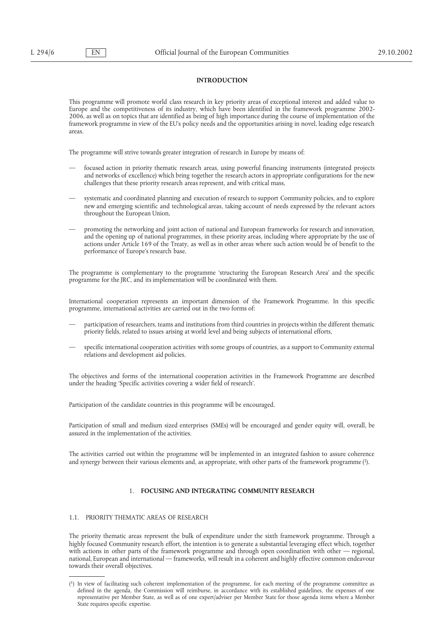## **INTRODUCTION**

This programme will promote world class research in key priority areas of exceptional interest and added value to Europe and the competitiveness of its industry, which have been identified in the framework programme 2002- 2006, as well as on topics that are identified as being of high importance during the course of implementation of the framework programme in view of the EU's policy needs and the opportunities arising in novel, leading edge research areas.

The programme will strive towards greater integration of research in Europe by means of:

- focused action in priority thematic research areas, using powerful financing instruments (integrated projects and networks of excellence) which bring together the research actors in appropriate configurations for the new challenges that these priority research areas represent, and with critical mass,
- systematic and coordinated planning and execution of research to support Community policies, and to explore new and emerging scientific and technological areas, taking account of needs expressed by the relevant actors throughout the European Union,
- promoting the networking and joint action of national and European frameworks for research and innovation, and the opening up of national programmes, in these priority areas, including where appropriate by the use of actions under Article 169 of the Treaty, as well as in other areas where such action would be of benefit to the performance of Europe's research base.

The programme is complementary to the programme 'structuring the European Research Area' and the specific programme for the JRC, and its implementation will be coordinated with them.

International cooperation represents an important dimension of the Framework Programme. In this specific programme, international activities are carried out in the two forms of:

- participation of researchers, teams and institutions from third countries in projects within the different thematic priority fields, related to issues arising at world level and being subjects of international efforts,
- specific international cooperation activities with some groups of countries, as a support to Community external relations and development aid policies.

The objectives and forms of the international cooperation activities in the Framework Programme are described under the heading 'Specific activities covering a wider field of research'.

Participation of the candidate countries in this programme will be encouraged.

Participation of small and medium sized enterprises (SMEs) will be encouraged and gender equity will, overall, be assured in the implementation of the activities.

The activities carried out within the programme will be implemented in an integrated fashion to assure coherence and synergy between their various elements and, as appropriate, with other parts of the framework programme (1).

# 1. **FOCUSING AND INTEGRATING COMMUNITY RESEARCH**

## 1.1. PRIORITY THEMATIC AREAS OF RESEARCH

The priority thematic areas represent the bulk of expenditure under the sixth framework programme. Through a highly focused Community research effort, the intention is to generate a substantial leveraging effect which, together with actions in other parts of the framework programme and through open coordination with other — regional, national, European and international — frameworks, will result in a coherent and highly effective common endeavour towards their overall objectives.

<sup>(1)</sup> In view of facilitating such coherent implementation of the programme, for each meeting of the programme committee as defined in the agenda, the Commission will reimburse, in accordance with its established guidelines, the expenses of one representative per Member State, as well as of one expert/adviser per Member State for those agenda items where a Member State requires specific expertise.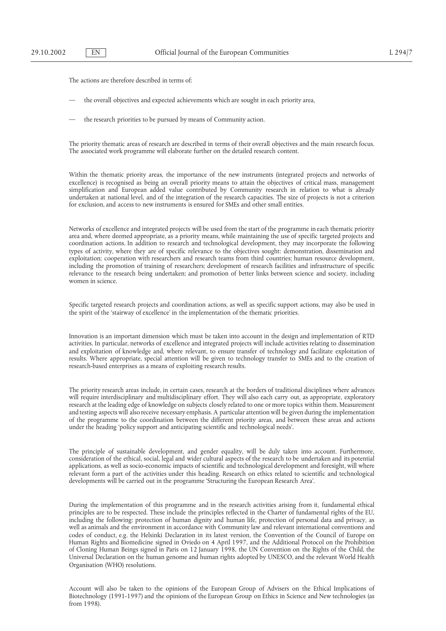The actions are therefore described in terms of:

- the overall objectives and expected achievements which are sought in each priority area,
- the research priorities to be pursued by means of Community action.

The priority thematic areas of research are described in terms of their overall objectives and the main research focus. The associated work programme will elaborate further on the detailed research content.

Within the thematic priority areas, the importance of the new instruments (integrated projects and networks of excellence) is recognised as being an overall priority means to attain the objectives of critical mass, management simplification and European added value contributed by Community research in relation to what is already undertaken at national level, and of the integration of the research capacities. The size of projects is not a criterion for exclusion, and access to new instruments is ensured for SMEs and other small entities.

Networks of excellence and integrated projects will be used from the start of the programme in each thematic priority area and, where deemed appropriate, as a priority means, while maintaining the use of specific targeted projects and coordination actions. In addition to research and technological development, they may incorporate the following types of activity, where they are of specific relevance to the objectives sought: demonstration, dissemination and exploitation; cooperation with researchers and research teams from third countries; human resource development, including the promotion of training of researchers; development of research facilities and infrastructure of specific relevance to the research being undertaken; and promotion of better links between science and society, including women in science.

Specific targeted research projects and coordination actions, as well as specific support actions, may also be used in the spirit of the 'stairway of excellence' in the implementation of the thematic priorities.

Innovation is an important dimension which must be taken into account in the design and implementation of RTD activities. In particular, networks of excellence and integrated projects will include activities relating to dissemination and exploitation of knowledge and, where relevant, to ensure transfer of technology and facilitate exploitation of results. Where appropriate, special attention will be given to technology transfer to SMEs and to the creation of research-based enterprises as a means of exploiting research results.

The priority research areas include, in certain cases, research at the borders of traditional disciplines where advances will require interdisciplinary and multidisciplinary effort. They will also each carry out, as appropriate, exploratory research at the leading edge of knowledge on subjects closely related to one or more topics within them. Measurement and testing aspects will also receive necessary emphasis. A particular attention will be given during the implementation of the programme to the coordination between the different priority areas, and between these areas and actions under the heading 'policy support and anticipating scientific and technological needs'.

The principle of sustainable development, and gender equality, will be duly taken into account. Furthermore, consideration of the ethical, social, legal and wider cultural aspects of the research to be undertaken and its potential applications, as well as socio-economic impacts of scientific and technological development and foresight, will where relevant form a part of the activities under this heading. Research on ethics related to scientific and technological developments will be carried out in the programme 'Structuring the European Research Area'.

During the implementation of this programme and in the research activities arising from it, fundamental ethical principles are to be respected. These include the principles reflected in the Charter of fundamental rights of the EU, including the following: protection of human dignity and human life, protection of personal data and privacy, as well as animals and the environment in accordance with Community law and relevant international conventions and codes of conduct, e.g. the Helsinki Declaration in its latest version, the Convention of the Council of Europe on Human Rights and Biomedicine signed in Oviedo on 4 April 1997, and the Additional Protocol on the Prohibition of Cloning Human Beings signed in Paris on 12 January 1998, the UN Convention on the Rights of the Child, the Universal Declaration on the human genome and human rights adopted by UNESCO, and the relevant World Health Organisation (WHO) resolutions.

Account will also be taken to the opinions of the European Group of Advisers on the Ethical Implications of Biotechnology (1991-1997) and the opinions of the European Group on Ethics in Science and New technologies (as from 1998).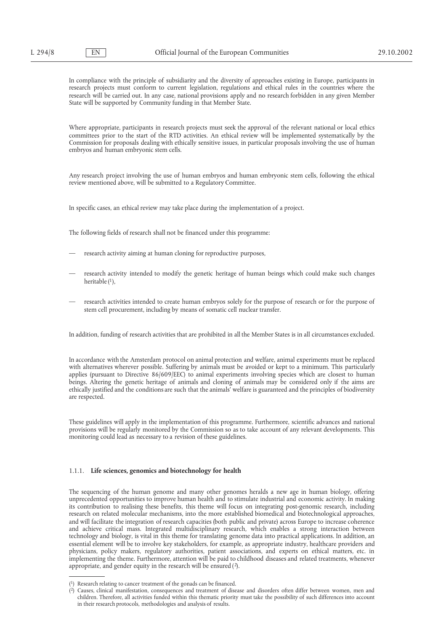In compliance with the principle of subsidiarity and the diversity of approaches existing in Europe, participants in research projects must conform to current legislation, regulations and ethical rules in the countries where the research will be carried out. In any case, national provisions apply and no research forbidden in any given Member State will be supported by Community funding in that Member State.

Where appropriate, participants in research projects must seek the approval of the relevant national or local ethics committees prior to the start of the RTD activities. An ethical review will be implemented systematically by the Commission for proposals dealing with ethically sensitive issues, in particular proposals involving the use of human embryos and human embryonic stem cells.

Any research project involving the use of human embryos and human embryonic stem cells, following the ethical review mentioned above, will be submitted to a Regulatory Committee.

In specific cases, an ethical review may take place during the implementation of a project.

The following fields of research shall not be financed under this programme:

- research activity aiming at human cloning for reproductive purposes,
- research activity intended to modify the genetic heritage of human beings which could make such changes heritable  $(1)$ ,
- research activities intended to create human embryos solely for the purpose of research or for the purpose of stem cell procurement, including by means of somatic cell nuclear transfer.

In addition, funding of research activities that are prohibited in all the Member States is in all circumstances excluded.

In accordance with the Amsterdam protocol on animal protection and welfare, animal experiments must be replaced with alternatives wherever possible. Suffering by animals must be avoided or kept to a minimum. This particularly applies (pursuant to Directive 86/609/EEC) to animal experiments involving species which are closest to human beings. Altering the genetic heritage of animals and cloning of animals may be considered only if the aims are ethically justified and the conditions are such that the animals' welfare is guaranteed and the principles of biodiversity are respected.

These guidelines will apply in the implementation of this programme. Furthermore, scientific advances and national provisions will be regularly monitored by the Commission so as to take account of any relevant developments. This monitoring could lead as necessary to a revision of these guidelines.

#### 1.1.1. **Life sciences, genomics and biotechnology for health**

The sequencing of the human genome and many other genomes heralds a new age in human biology, offering unprecedented opportunities to improve human health and to stimulate industrial and economic activity. In making its contribution to realising these benefits, this theme will focus on integrating post-genomic research, including research on related molecular mechanisms, into the more established biomedical and biotechnological approaches, and will facilitate the integration of research capacities (both public and private) across Europe to increase coherence and achieve critical mass. Integrated multidisciplinary research, which enables a strong interaction between technology and biology, is vital in this theme for translating genome data into practical applications. In addition, an essential element will be to involve key stakeholders, for example, as appropriate industry, healthcare providers and physicians, policy makers, regulatory authorities, patient associations, and experts on ethical matters, etc. in implementing the theme. Furthermore, attention will be paid to childhood diseases and related treatments, whenever appropriate, and gender equity in the research will be ensured (2).

<sup>(1)</sup> Research relating to cancer treatment of the gonads can be financed.

<sup>(2)</sup> Causes, clinical manifestation, consequences and treatment of disease and disorders often differ between women, men and children. Therefore, all activities funded within this thematic priority must take the possibility of such differences into account in their research protocols, methodologies and analysis of results.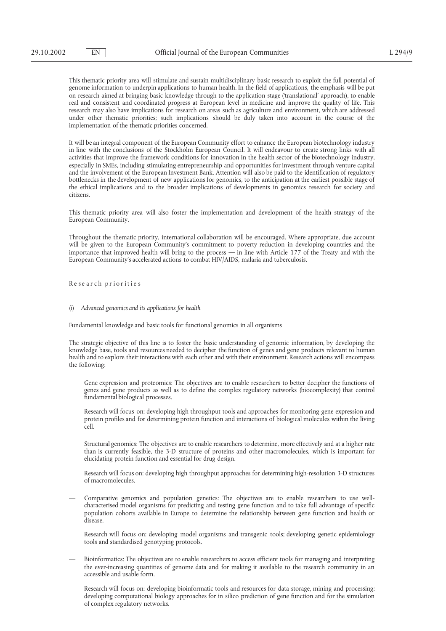This thematic priority area will stimulate and sustain multidisciplinary basic research to exploit the full potential of genome information to underpin applications to human health. In the field of applications, the emphasis will be put on research aimed at bringing basic knowledge through to the application stage ('translational' approach), to enable real and consistent and coordinated progress at European level in medicine and improve the quality of life. This research may also have implications for research on areas such as agriculture and environment, which are addressed under other thematic priorities; such implications should be duly taken into account in the course of the implementation of the thematic priorities concerned.

It will be an integral component of the European Community effort to enhance the European biotechnology industry in line with the conclusions of the Stockholm European Council. It will endeavour to create strong links with all activities that improve the framework conditions for innovation in the health sector of the biotechnology industry, especially in SMEs, including stimulating entrepreneurship and opportunities for investment through venture capital and the involvement of the European Investment Bank. Attention will also be paid to the identification of regulatory bottlenecks in the development of new applications for genomics, to the anticipation at the earliest possible stage of the ethical implications and to the broader implications of developments in genomics research for society and citizens.

This thematic priority area will also foster the implementation and development of the health strategy of the European Community.

Throughout the thematic priority, international collaboration will be encouraged. Where appropriate, due account will be given to the European Community's commitment to poverty reduction in developing countries and the importance that improved health will bring to the process — in line with Article 177 of the Treaty and with the European Community's accelerated actions to combat HIV/AIDS, malaria and tuberculosis.

Re se ar ch pr ior itie s

#### (i) *Advanced genomics and its applications for health*

Fundamental knowledge and basic tools for functional genomics in all organisms

The strategic objective of this line is to foster the basic understanding of genomic information, by developing the knowledge base, tools and resources needed to decipher the function of genes and gene products relevant to human health and to explore their interactions with each other and with their environment. Research actions will encompass the following:

— Gene expression and proteomics: The objectives are to enable researchers to better decipher the functions of genes and gene products as well as to define the complex regulatory networks (biocomplexity) that control fundamental biological processes.

Research will focus on: developing high throughput tools and approaches for monitoring gene expression and protein profiles and for determining protein function and interactions of biological molecules within the living cell.

— Structural genomics: The objectives are to enable researchers to determine, more effectively and at a higher rate than is currently feasible, the 3-D structure of proteins and other macromolecules, which is important for elucidating protein function and essential for drug design.

Research will focus on: developing high throughput approaches for determining high-resolution 3-D structures of macromolecules.

— Comparative genomics and population genetics: The objectives are to enable researchers to use wellcharacterised model organisms for predicting and testing gene function and to take full advantage of specific population cohorts available in Europe to determine the relationship between gene function and health or disease.

Research will focus on: developing model organisms and transgenic tools; developing genetic epidemiology tools and standardised genotyping protocols.

— Bioinformatics: The objectives are to enable researchers to access efficient tools for managing and interpreting the ever-increasing quantities of genome data and for making it available to the research community in an accessible and usable form.

Research will focus on: developing bioinformatic tools and resources for data storage, mining and processing; developing computational biology approaches for in silico prediction of gene function and for the simulation of complex regulatory networks.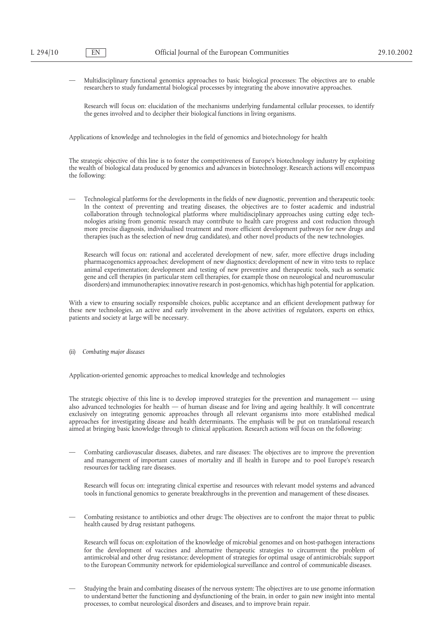— Multidisciplinary functional genomics approaches to basic biological processes: The objectives are to enable researchers to study fundamental biological processes by integrating the above innovative approaches.

Research will focus on: elucidation of the mechanisms underlying fundamental cellular processes, to identify the genes involved and to decipher their biological functions in living organisms.

Applications of knowledge and technologies in the field of genomics and biotechnology for health

The strategic objective of this line is to foster the competitiveness of Europe's biotechnology industry by exploiting the wealth of biological data produced by genomics and advances in biotechnology. Research actions will encompass the following:

— Technological platforms for the developments in the fields of new diagnostic, prevention and therapeutic tools: In the context of preventing and treating diseases, the objectives are to foster academic and industrial collaboration through technological platforms where multidisciplinary approaches using cutting edge technologies arising from genomic research may contribute to health care progress and cost reduction through more precise diagnosis, individualised treatment and more efficient development pathways for new drugs and therapies (such as the selection of new drug candidates), and other novel products of the new technologies.

Research will focus on: rational and accelerated development of new, safer, more effective drugs including pharmacogenomics approaches; development of new diagnostics; development of new in vitro tests to replace animal experimentation; development and testing of new preventive and therapeutic tools, such as somatic gene and cell therapies (in particular stem cell therapies, for example those on neurological and neuromuscular disorders) and immunotherapies; innovative research in post-genomics, which has high potential for application.

With a view to ensuring socially responsible choices, public acceptance and an efficient development pathway for these new technologies, an active and early involvement in the above activities of regulators, experts on ethics, patients and society at large will be necessary.

(ii) *Combating major diseases*

Application-oriented genomic approaches to medical knowledge and technologies

The strategic objective of this line is to develop improved strategies for the prevention and management — using also advanced technologies for health — of human disease and for living and ageing healthily. It will concentrate exclusively on integrating genomic approaches through all relevant organisms into more established medical approaches for investigating disease and health determinants. The emphasis will be put on translational research aimed at bringing basic knowledge through to clinical application. Research actions will focus on the following:

— Combating cardiovascular diseases, diabetes, and rare diseases: The objectives are to improve the prevention and management of important causes of mortality and ill health in Europe and to pool Europe's research resources for tackling rare diseases.

Research will focus on: integrating clinical expertise and resources with relevant model systems and advanced tools in functional genomics to generate breakthroughs in the prevention and management of these diseases.

— Combating resistance to antibiotics and other drugs: The objectives are to confront the major threat to public health caused by drug resistant pathogens.

Research will focus on: exploitation of the knowledge of microbial genomes and on host-pathogen interactions for the development of vaccines and alternative therapeutic strategies to circumvent the problem of antimicrobial and other drug resistance; development of strategies for optimal usage of antimicrobials; support to the European Community network for epidemiological surveillance and control of communicable diseases.

— Studying the brain and combating diseases of the nervous system: The objectives are to use genome information to understand better the functioning and dysfunctioning of the brain, in order to gain new insight into mental processes, to combat neurological disorders and diseases, and to improve brain repair.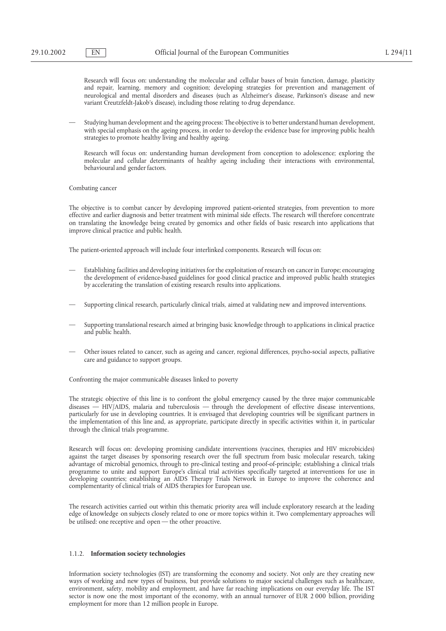Research will focus on: understanding the molecular and cellular bases of brain function, damage, plasticity and repair, learning, memory and cognition; developing strategies for prevention and management of neurological and mental disorders and diseases (such as Alzheimer's disease, Parkinson's disease and new variant Creutzfeldt-Jakob's disease), including those relating to drug dependance.

— Studying human development and the ageing process: The objective is to better understand human development, with special emphasis on the ageing process, in order to develop the evidence base for improving public health strategies to promote healthy living and healthy ageing.

Research will focus on: understanding human development from conception to adolescence; exploring the molecular and cellular determinants of healthy ageing including their interactions with environmental, behavioural and gender factors.

Combating cancer

The objective is to combat cancer by developing improved patient-oriented strategies, from prevention to more effective and earlier diagnosis and better treatment with minimal side effects. The research will therefore concentrate on translating the knowledge being created by genomics and other fields of basic research into applications that improve clinical practice and public health.

The patient-oriented approach will include four interlinked components. Research will focus on:

- Establishing facilities and developing initiatives for the exploitation of research on cancer in Europe; encouraging the development of evidence-based guidelines for good clinical practice and improved public health strategies by accelerating the translation of existing research results into applications.
- Supporting clinical research, particularly clinical trials, aimed at validating new and improved interventions.
- Supporting translational research aimed at bringing basic knowledge through to applications in clinical practice and public health.
- Other issues related to cancer, such as ageing and cancer, regional differences, psycho-social aspects, palliative care and guidance to support groups.

Confronting the major communicable diseases linked to poverty

The strategic objective of this line is to confront the global emergency caused by the three major communicable diseases — HIV/AIDS, malaria and tuberculosis — through the development of effective disease interventions, particularly for use in developing countries. It is envisaged that developing countries will be significant partners in the implementation of this line and, as appropriate, participate directly in specific activities within it, in particular through the clinical trials programme.

Research will focus on: developing promising candidate interventions (vaccines, therapies and HIV microbicides) against the target diseases by sponsoring research over the full spectrum from basic molecular research, taking advantage of microbial genomics, through to pre-clinical testing and proof-of-principle; establishing a clinical trials programme to unite and support Europe's clinical trial activities specifically targeted at interventions for use in developing countries; establishing an AIDS Therapy Trials Network in Europe to improve the coherence and complementarity of clinical trials of AIDS therapies for European use.

The research activities carried out within this thematic priority area will include exploratory research at the leading edge of knowledge on subjects closely related to one or more topics within it. Two complementary approaches will be utilised: one receptive and open — the other proactive.

## 1.1.2. **Information society technologies**

Information society technologies (IST) are transforming the economy and society. Not only are they creating new ways of working and new types of business, but provide solutions to major societal challenges such as healthcare, environment, safety, mobility and employment, and have far reaching implications on our everyday life. The IST sector is now one the most important of the economy, with an annual turnover of EUR 2 000 billion, providing employment for more than 12 million people in Europe.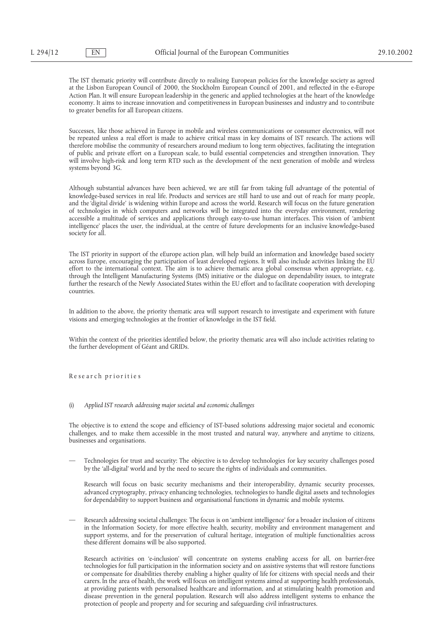The IST thematic priority will contribute directly to realising European policies for the knowledge society as agreed at the Lisbon European Council of 2000, the Stockholm European Council of 2001, and reflected in the e-Europe Action Plan. It will ensure European leadership in the generic and applied technologies at the heart of the knowledge economy. It aims to increase innovation and competitiveness in European businesses and industry and to contribute to greater benefits for all European citizens.

Successes, like those achieved in Europe in mobile and wireless communications or consumer electronics, will not be repeated unless a real effort is made to achieve critical mass in key domains of IST research. The actions will therefore mobilise the community of researchers around medium to long term objectives, facilitating the integration of public and private effort on a European scale, to build essential competencies and strengthen innovation. They will involve high-risk and long term RTD such as the development of the next generation of mobile and wireless systems beyond 3G.

Although substantial advances have been achieved, we are still far from taking full advantage of the potential of knowledge-based services in real life. Products and services are still hard to use and out of reach for many people, and the 'digital divide' is widening within Europe and across the world. Research will focus on the future generation of technologies in which computers and networks will be integrated into the everyday environment, rendering accessible a multitude of services and applications through easy-to-use human interfaces. This vision of 'ambient intelligence' places the user, the individual, at the centre of future developments for an inclusive knowledge-based society for all.

The IST priority in support of the eEurope action plan, will help build an information and knowledge based society across Europe, encouraging the participation of least developed regions. It will also include activities linking the EU effort to the international context. The aim is to achieve thematic area global consensus when appropriate, e.g. through the Intelligent Manufacturing Systems (IMS) initiative or the dialogue on dependability issues, to integrate further the research of the Newly Associated States within the EU effort and to facilitate cooperation with developing countries.

In addition to the above, the priority thematic area will support research to investigate and experiment with future visions and emerging technologies at the frontier of knowledge in the IST field.

Within the context of the priorities identified below, the priority thematic area will also include activities relating to the further development of Géant and GRIDs.

Re se ar ch pr ior itie s

#### (i) *Applied IST research addressing major societal and economic challenges*

The objective is to extend the scope and efficiency of IST-based solutions addressing major societal and economic challenges, and to make them accessible in the most trusted and natural way, anywhere and anytime to citizens, businesses and organisations.

— Technologies for trust and security: The objective is to develop technologies for key security challenges posed by the 'all-digital' world and by the need to secure the rights of individuals and communities.

Research will focus on basic security mechanisms and their interoperability, dynamic security processes, advanced cryptography, privacy enhancing technologies, technologies to handle digital assets and technologies for dependability to support business and organisational functions in dynamic and mobile systems.

— Research addressing societal challenges: The focus is on 'ambient intelligence' for a broader inclusion of citizens in the Information Society, for more effective health, security, mobility and environment management and support systems, and for the preservation of cultural heritage, integration of multiple functionalities across these different domains will be also supported.

Research activities on 'e-inclusion' will concentrate on systems enabling access for all, on barrier-free technologies for full participation in the information society and on assistive systems that will restore functions or compensate for disabilities thereby enabling a higher quality of life for citizens with special needs and their carers. In the area of health, the work will focus on intelligent systems aimed at supporting health professionals, at providing patients with personalised healthcare and information, and at stimulating health promotion and disease prevention in the general population. Research will also address intelligent systems to enhance the protection of people and property and for securing and safeguarding civil infrastructures.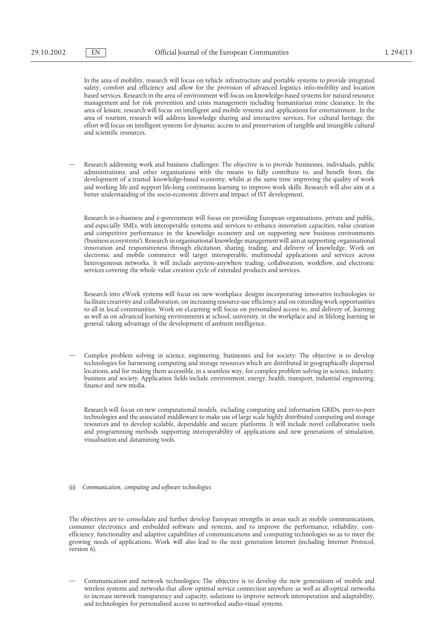In the area of mobility, research will focus on vehicle infrastructure and portable systems to provide integrated safety, comfort and efficiency and allow for the provision of advanced logistics info-mobility and location based services. Research in the area of environment will focus on knowledge-based systems for natural resource management and for risk prevention and crisis management including humanitarian mine clearance. In the area of leisure, research will focus on intelligent and mobile systems and applications for entertainment. In the area of tourism, research will address knowledge sharing and interactive services. For cultural heritage, the effort will focus on intelligent systems for dynamic access to and preservation of tangible and intangible cultural and scientific resources.

— Research addressing work and business challenges: The objective is to provide businesses, individuals, public administrations, and other organisations with the means to fully contribute to, and benefit from, the development of a trusted knowledge-based economy, whilst at the same time improving the quality of work and working life and support life-long continuous learning to improve work skills. Research will also aim at a better understanding of the socio-economic drivers and impact of IST development.

Research in e-business and e-government will focus on providing European organisations, private and public, and especially SMEs, with interoperable systems and services to enhance innovation capacities, value creation and competitive performance in the knowledge economy and on supporting new business environments ('business ecosystems'). Research in organisational knowledge management will aim at supporting organisational innovation and responsiveness through elicitation, sharing, trading, and delivery of knowledge. Work on electronic and mobile commerce will target interoperable, multimodal applications and services across heterogeneous networks. It will include anytime-anywhere trading, collaboration, workflow, and electronic services covering the whole value creation cycle of extended products and services.

Research into eWork systems will focus on new workplace designs incorporating innovative technologies to facilitate creativity and collaboration, on increasing resource-use efficiency and on extending work opportunities to all in local communities. Work on eLearning will focus on personalised access to, and delivery of, learning as well as on advanced learning environments at school, university, in the workplace and in lifelong learning in general, taking advantage of the development of ambient intelligence.

— Complex problem solving in science, engineering, businesses and for society: The objective is to develop technologies for harnessing computing and storage resources which are distributed in geographically dispersed locations, and for making them accessible, in a seamless way, for complex problem solving in science, industry, business and society. Application fields include environment, energy, health, transport, industrial engineering, finance and new media.

Research will focus on new computational models, including computing and information GRIDs, peer-to-peer technologies and the associated middleware to make use of large scale highly distributed computing and storage resources and to develop scalable, dependable and secure platforms. It will include novel collaborative tools and programming methods supporting interoperability of applications and new generations of simulation, visualisation and datamining tools.

(ii) *Communication, computing and software technologies*

The objectives are to consolidate and further develop European strengths in areas such as mobile communications, consumer electronics and embedded software and systems, and to improve the performance, reliability, costefficiency, functionality and adaptive capabilities of communications and computing technologies so as to meet the growing needs of applications. Work will also lead to the next generation Internet (including Internet Protocol, version 6).

— Communication and network technologies: The objective is to develop the new generations of mobile and wireless systems and networks that allow optimal service connection anywhere as well as all-optical networks to increase network transparency and capacity, solutions to improve network interoperation and adaptability, and technologies for personalised access to networked audio-visual systems.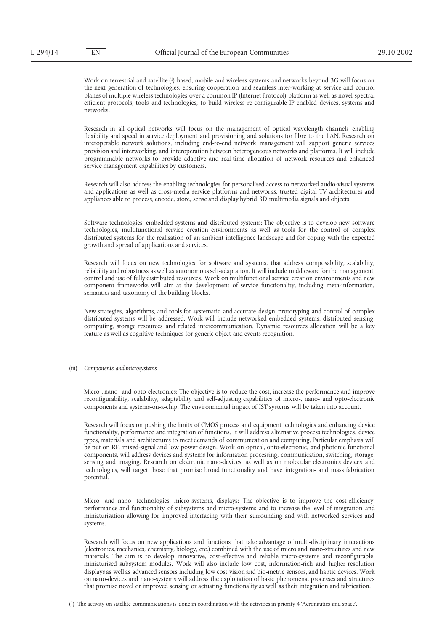Work on terrestrial and satellite (1) based, mobile and wireless systems and networks beyond 3G will focus on the next generation of technologies, ensuring cooperation and seamless inter-working at service and control planes of multiple wireless technologies over a common IP (Internet Protocol) platform as well as novel spectral efficient protocols, tools and technologies, to build wireless re-configurable IP enabled devices, systems and networks.

Research in all optical networks will focus on the management of optical wavelength channels enabling flexibility and speed in service deployment and provisioning and solutions for fibre to the LAN. Research on interoperable network solutions, including end-to-end network management will support generic services provision and interworking, and interoperation between heterogeneous networks and platforms. It will include programmable networks to provide adaptive and real-time allocation of network resources and enhanced service management capabilities by customers.

Research will also address the enabling technologies for personalised access to networked audio-visual systems and applications as well as cross-media service platforms and networks, trusted digital TV architectures and appliances able to process, encode, store, sense and display hybrid 3D multimedia signals and objects.

— Software technologies, embedded systems and distributed systems: The objective is to develop new software technologies, multifunctional service creation environments as well as tools for the control of complex distributed systems for the realisation of an ambient intelligence landscape and for coping with the expected growth and spread of applications and services.

Research will focus on new technologies for software and systems, that address composability, scalability, reliability and robustness as well as autonomous self-adaptation. It will include middleware for the management, control and use of fully distributed resources. Work on multifunctional service creation environments and new component frameworks will aim at the development of service functionality, including meta-information, semantics and taxonomy of the building blocks.

New strategies, algorithms, and tools for systematic and accurate design, prototyping and control of complex distributed systems will be addressed. Work will include networked embedded systems, distributed sensing, computing, storage resources and related intercommunication. Dynamic resources allocation will be a key feature as well as cognitive techniques for generic object and events recognition.

- (iii) *Components and microsystems*
- Micro-, nano- and opto-electronics: The objective is to reduce the cost, increase the performance and improve reconfigurability, scalability, adaptability and self-adjusting capabilities of micro-, nano- and opto-electronic components and systems-on-a-chip. The environmental impact of IST systems will be taken into account.

Research will focus on pushing the limits of CMOS process and equipment technologies and enhancing device functionality, performance and integration of functions. It will address alternative process technologies, device types, materials and architectures to meet demands of communication and computing. Particular emphasis will be put on RF, mixed-signal and low power design. Work on optical, opto-electronic, and photonic functional components, will address devices and systems for information processing, communication, switching, storage, sensing and imaging. Research on electronic nano-devices, as well as on molecular electronics devices and technologies, will target those that promise broad functionality and have integration- and mass fabrication potential.

— Micro- and nano- technologies, micro-systems, displays: The objective is to improve the cost-efficiency, performance and functionality of subsystems and micro-systems and to increase the level of integration and miniaturisation allowing for improved interfacing with their surrounding and with networked services and systems.

Research will focus on new applications and functions that take advantage of multi-disciplinary interactions (electronics, mechanics, chemistry, biology, etc.) combined with the use of micro and nano-structures and new materials. The aim is to develop innovative, cost-effective and reliable micro-systems and reconfigurable, miniaturised subsystem modules. Work will also include low cost, information-rich and higher resolution displays as well as advanced sensors including low cost vision and bio-metric sensors, and haptic devices. Work on nano-devices and nano-systems will address the exploitation of basic phenomena, processes and structures that promise novel or improved sensing or actuating functionality as well as their integration and fabrication.

<sup>(1)</sup> The activity on satellite communications is done in coordination with the activities in priority 4 'Aeronautics and space'.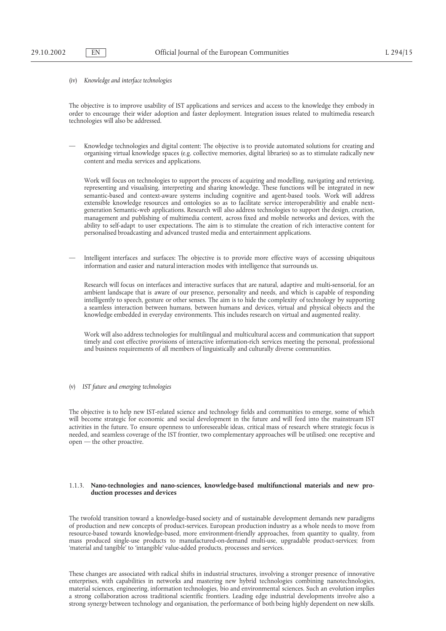(iv) *Knowledge and interface technologies*

The objective is to improve usability of IST applications and services and access to the knowledge they embody in order to encourage their wider adoption and faster deployment. Integration issues related to multimedia research technologies will also be addressed.

— Knowledge technologies and digital content: The objective is to provide automated solutions for creating and organising virtual knowledge spaces (e.g. collective memories, digital libraries) so as to stimulate radically new content and media services and applications.

Work will focus on technologies to support the process of acquiring and modelling, navigating and retrieving, representing and visualising, interpreting and sharing knowledge. These functions will be integrated in new semantic-based and context-aware systems including cognitive and agent-based tools. Work will address extensible knowledge resources and ontologies so as to facilitate service interoperabilitiy and enable nextgeneration Semantic-web applications. Research will also address technologies to support the design, creation, management and publishing of multimedia content, across fixed and mobile networks and devices, with the ability to self-adapt to user expectations. The aim is to stimulate the creation of rich interactive content for personalised broadcasting and advanced trusted media and entertainment applications.

— Intelligent interfaces and surfaces: The objective is to provide more effective ways of accessing ubiquitous information and easier and natural interaction modes with intelligence that surrounds us.

Research will focus on interfaces and interactive surfaces that are natural, adaptive and multi-sensorial, for an ambient landscape that is aware of our presence, personality and needs, and which is capable of responding intelligently to speech, gesture or other senses. The aim is to hide the complexity of technology by supporting a seamless interaction between humans, between humans and devices, virtual and physical objects and the knowledge embedded in everyday environments. This includes research on virtual and augmented reality.

Work will also address technologies for multilingual and multicultural access and communication that support timely and cost effective provisions of interactive information-rich services meeting the personal, professional and business requirements of all members of linguistically and culturally diverse communities.

(v) *IST future and emerging technologies*

The objective is to help new IST-related science and technology fields and communities to emerge, some of which will become strategic for economic and social development in the future and will feed into the mainstream IST activities in the future. To ensure openness to unforeseeable ideas, critical mass of research where strategic focus is needed, and seamless coverage of the IST frontier, two complementary approaches will be utilised: one receptive and open — the other proactive.

#### 1.1.3. **Nano-technologies and nano-sciences, knowledge-based multifunctional materials and new production processes and devices**

The twofold transition toward a knowledge-based society and of sustainable development demands new paradigms of production and new concepts of product-services. European production industry as a whole needs to move from resource-based towards knowledge-based, more environment-friendly approaches, from quantity to quality, from mass produced single-use products to manufactured-on-demand multi-use, upgradable product-services; from 'material and tangible' to 'intangible' value-added products, processes and services.

These changes are associated with radical shifts in industrial structures, involving a stronger presence of innovative enterprises, with capabilities in networks and mastering new hybrid technologies combining nanotechnologies, material sciences, engineering, information technologies, bio and environmental sciences. Such an evolution implies a strong collaboration across traditional scientific frontiers. Leading edge industrial developments involve also a strong synergy between technology and organisation, the performance of both being highly dependent on new skills.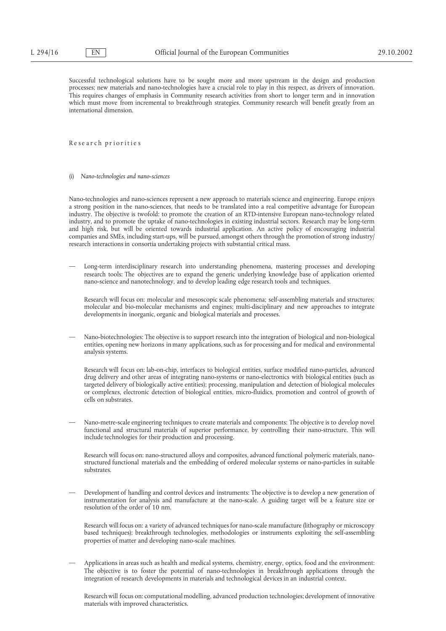Successful technological solutions have to be sought more and more upstream in the design and production processes; new materials and nano-technologies have a crucial role to play in this respect, as drivers of innovation. This requires changes of emphasis in Community research activities from short to longer term and in innovation which must move from incremental to breakthrough strategies. Community research will benefit greatly from an international dimension.

Re se ar ch pr ior itie s

(i) *Nano-technologies and nano-sciences*

Nano-technologies and nano-sciences represent a new approach to materials science and engineering. Europe enjoys a strong position in the nano-sciences, that needs to be translated into a real competitive advantage for European industry. The objective is twofold: to promote the creation of an RTD-intensive European nano-technology related industry, and to promote the uptake of nano-technologies in existing industrial sectors. Research may be long-term and high risk, but will be oriented towards industrial application. An active policy of encouraging industrial companies and SMEs, including start-ups, will be pursued, amongst others through the promotion of strong industry/ research interactions in consortia undertaking projects with substantial critical mass.

— Long-term interdisciplinary research into understanding phenomena, mastering processes and developing research tools: The objectives are to expand the generic underlying knowledge base of application oriented nano-science and nanotechnology, and to develop leading edge research tools and techniques.

Research will focus on: molecular and mesoscopic scale phenomena; self-assembling materials and structures; molecular and bio-molecular mechanisms and engines; multi-disciplinary and new approaches to integrate developments in inorganic, organic and biological materials and processes.

— Nano-biotechnologies: The objective is to support research into the integration of biological and non-biological entities, opening new horizons in many applications, such as for processing and for medical and environmental analysis systems.

Research will focus on: lab-on-chip, interfaces to biological entities, surface modified nano-particles, advanced drug delivery and other areas of integrating nano-systems or nano-electronics with biological entities (such as targeted delivery of biologically active entities); processing, manipulation and detection of biological molecules or complexes, electronic detection of biological entities, micro-fluidics, promotion and control of growth of cells on substrates.

— Nano-metre-scale engineering techniques to create materials and components: The objective is to develop novel functional and structural materials of superior performance, by controlling their nano-structure. This will include technologies for their production and processing.

Research will focus on: nano-structured alloys and composites, advanced functional polymeric materials, nanostructured functional materials and the embedding of ordered molecular systems or nano-particles in suitable substrates.

— Development of handling and control devices and instruments: The objective is to develop a new generation of instrumentation for analysis and manufacture at the nano-scale. A guiding target will be a feature size or resolution of the order of 10 nm.

Research will focus on: a variety of advanced techniques for nano-scale manufacture (lithography or microscopy based techniques); breakthrough technologies, methodologies or instruments exploiting the self-assembling properties of matter and developing nano-scale machines.

— Applications in areas such as health and medical systems, chemistry, energy, optics, food and the environment: The objective is to foster the potential of nano-technologies in breakthrough applications through the integration of research developments in materials and technological devices in an industrial context.

Research will focus on: computational modelling, advanced production technologies; development of innovative materials with improved characteristics.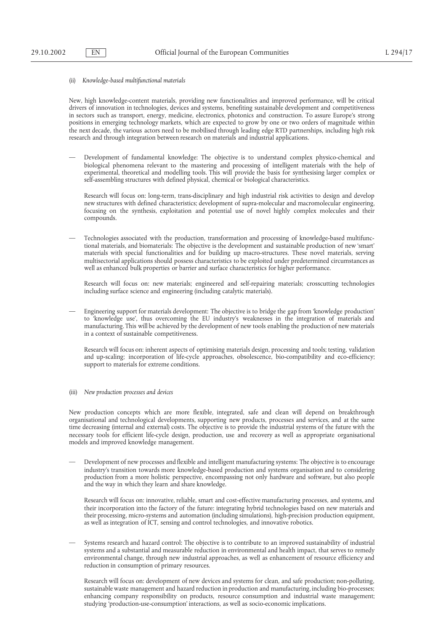### (ii) *Knowledge-based multifunctional materials*

New, high knowledge-content materials, providing new functionalities and improved performance, will be critical drivers of innovation in technologies, devices and systems, benefiting sustainable development and competitiveness in sectors such as transport, energy, medicine, electronics, photonics and construction. To assure Europe's strong positions in emerging technology markets, which are expected to grow by one or two orders of magnitude within the next decade, the various actors need to be mobilised through leading edge RTD partnerships, including high risk research and through integration between research on materials and industrial applications.

— Development of fundamental knowledge: The objective is to understand complex physico-chemical and biological phenomena relevant to the mastering and processing of intelligent materials with the help of experimental, theoretical and modelling tools. This will provide the basis for synthesising larger complex or self-assembling structures with defined physical, chemical or biological characteristics.

Research will focus on: long-term, trans-disciplinary and high industrial risk activities to design and develop new structures with defined characteristics; development of supra-molecular and macromolecular engineering, focusing on the synthesis, exploitation and potential use of novel highly complex molecules and their compounds.

— Technologies associated with the production, transformation and processing of knowledge-based multifunctional materials, and biomaterials: The objective is the development and sustainable production of new 'smart' materials with special functionalities and for building up macro-structures. These novel materials, serving multisectorial applications should possess characteristics to be exploited under predetermined circumstances as well as enhanced bulk properties or barrier and surface characteristics for higher performance.

Research will focus on: new materials; engineered and self-repairing materials; crosscutting technologies including surface science and engineering (including catalytic materials).

— Engineering support for materials development: The objective is to bridge the gap from 'knowledge production' to 'knowledge use', thus overcoming the EU industry's weaknesses in the integration of materials and manufacturing. This will be achieved by the development of new tools enabling the production of new materials in a context of sustainable competitiveness.

Research will focus on: inherent aspects of optimising materials design, processing and tools; testing, validation and up-scaling; incorporation of life-cycle approaches, obsolescence, bio-compatibility and eco-efficiency; support to materials for extreme conditions.

(iii) *New production processes and devices*

New production concepts which are more flexible, integrated, safe and clean will depend on breakthrough organisational and technological developments, supporting new products, processes and services, and at the same time decreasing (internal and external) costs. The objective is to provide the industrial systems of the future with the necessary tools for efficient life-cycle design, production, use and recovery as well as appropriate organisational models and improved knowledge management.

— Development of new processes and flexible and intelligent manufacturing systems: The objective is to encourage industry's transition towards more knowledge-based production and systems organisation and to considering production from a more holistic perspective, encompassing not only hardware and software, but also people and the way in which they learn and share knowledge.

Research will focus on: innovative, reliable, smart and cost-effective manufacturing processes, and systems, and their incorporation into the factory of the future: integrating hybrid technologies based on new materials and their processing, micro-systems and automation (including simulations), high-precision production equipment, as well as integration of ICT, sensing and control technologies, and innovative robotics.

— Systems research and hazard control: The objective is to contribute to an improved sustainability of industrial systems and a substantial and measurable reduction in environmental and health impact, that serves to remedy environmental change, through new industrial approaches, as well as enhancement of resource efficiency and reduction in consumption of primary resources.

Research will focus on: development of new devices and systems for clean, and safe production; non-polluting, sustainable waste management and hazard reduction in production and manufacturing, including bio-processes; enhancing company responsibility on products, resource consumption and industrial waste management; studying 'production-use-consumption' interactions, as well as socio-economic implications.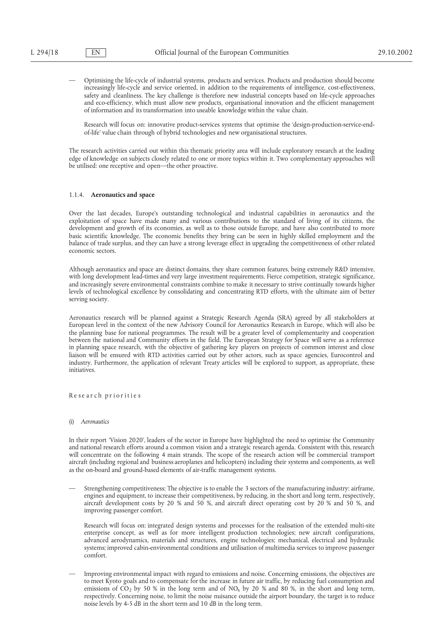— Optimising the life-cycle of industrial systems, products and services. Products and production should become increasingly life-cycle and service oriented, in addition to the requirements of intelligence, cost-effectiveness, safety and cleanliness. The key challenge is therefore new industrial concepts based on life-cycle approaches and eco-efficiency, which must allow new products, organisational innovation and the efficient management of information and its transformation into useable knowledge within the value chain.

Research will focus on: innovative product-services systems that optimise the 'design-production-service-endof-life' value chain through of hybrid technologies and new organisational structures.

The research activities carried out within this thematic priority area will include exploratory research at the leading edge of knowledge on subjects closely related to one or more topics within it. Two complementary approaches will be utilised: one receptive and open—the other proactive.

#### 1.1.4. **Aeronautics and space**

Over the last decades, Europe's outstanding technological and industrial capabilities in aeronautics and the exploitation of space have made many and various contributions to the standard of living of its citizens, the development and growth of its economies, as well as to those outside Europe, and have also contributed to more basic scientific knowledge. The economic benefits they bring can be seen in highly skilled employment and the balance of trade surplus, and they can have a strong leverage effect in upgrading the competitiveness of other related economic sectors.

Although aeronautics and space are distinct domains, they share common features, being extremely R&D intensive, with long development lead-times and very large investment requirements. Fierce competition, strategic significance, and increasingly severe environmental constraints combine to make it necessary to strive continually towards higher levels of technological excellence by consolidating and concentrating RTD efforts, with the ultimate aim of better serving society.

Aeronautics research will be planned against a Strategic Research Agenda (SRA) agreed by all stakeholders at European level in the context of the new Advisory Council for Aeronautics Research in Europe, which will also be the planning base for national programmes. The result will be a greater level of complementarity and cooperation between the national and Community efforts in the field. The European Strategy for Space will serve as a reference in planning space research, with the objective of gathering key players on projects of common interest and close liaison will be ensured with RTD activities carried out by other actors, such as space agencies, Eurocontrol and industry. Furthermore, the application of relevant Treaty articles will be explored to support, as appropriate, these initiatives.

#### Re se ar ch pr ior itie s

#### (i) *Aeronautics*

In their report 'Vision 2020', leaders of the sector in Europe have highlighted the need to optimise the Community and national research efforts around a common vision and a strategic research agenda. Consistent with this, research will concentrate on the following 4 main strands. The scope of the research action will be commercial transport aircraft (including regional and business aeroplanes and helicopters) including their systems and components, as well as the on-board and ground-based elements of air-traffic management systems.

— Strengthening competitiveness: The objective is to enable the 3 sectors of the manufacturing industry: airframe, engines and equipment, to increase their competitiveness, by reducing, in the short and long term, respectively, aircraft development costs by 20 % and 50 %, and aircraft direct operating cost by 20 % and 50 %, and improving passenger comfort.

Research will focus on: integrated design systems and processes for the realisation of the extended multi-site enterprise concept, as well as for more intelligent production technologies; new aircraft configurations, advanced aerodynamics, materials and structures, engine technologies; mechanical, electrical and hydraulic systems; improved cabin-environmental conditions and utilisation of multimedia services to improve passenger comfort.

— Improving environmental impact with regard to emissions and noise. Concerning emissions, the objectives are to meet Kyoto goals and to compensate for the increase in future air traffic, by reducing fuel consumption and emissions of  $CO<sub>2</sub>$  by 50 % in the long term and of NO<sub>x</sub> by 20 % and 80 %, in the short and long term, respectively. Concerning noise, to limit the noise nuisance outside the airport boundary, the target is to reduce noise levels by 4-5 dB in the short term and 10 dB in the long term.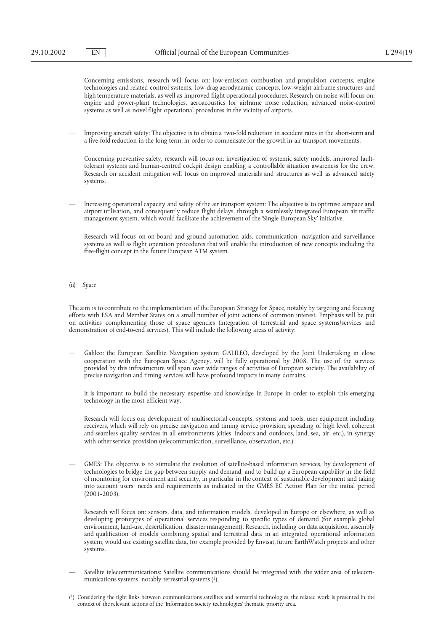Concerning emissions, research will focus on: low-emission combustion and propulsion concepts, engine technologies and related control systems, low-drag aerodynamic concepts, low-weight airframe structures and high temperature materials, as well as improved flight operational procedures. Research on noise will focus on: engine and power-plant technologies, aeroacoustics for airframe noise reduction, advanced noise-control systems as well as novel flight operational procedures in the vicinity of airports.

— Improving aircraft safety: The objective is to obtain a two-fold reduction in accident rates in the short-term and a five-fold reduction in the long term, in order to compensate for the growth in air transport movements.

Concerning preventive safety, research will focus on: investigation of systemic safety models, improved faulttolerant systems and human-centred cockpit design enabling a controllable situation awareness for the crew. Research on accident mitigation will focus on improved materials and structures as well as advanced safety systems.

— Increasing operational capacity and safety of the air transport system: The objective is to optimise airspace and airport utilisation, and consequently reduce flight delays, through a seamlessly integrated European air traffic management system, which would facilitate the achievement of the 'Single European Sky' initiative.

Research will focus on on-board and ground automation aids, communication, navigation and surveillance systems as well as flight operation procedures that will enable the introduction of new concepts including the free-flight concept in the future European ATM system.

(ii) *Space*

The aim is to contribute to the implementation of the European Strategy for Space, notably by targeting and focusing efforts with ESA and Member States on a small number of joint actions of common interest. Emphasis will be put on activities complementing those of space agencies (integration of terrestrial and space systems/services and demonstration of end-to-end services). This will include the following areas of activity:

— Galileo: the European Satellite Navigation system GALILEO, developed by the Joint Undertaking in close cooperation with the European Space Agency, will be fully operational by 2008. The use of the services provided by this infrastructure will span over wide ranges of activities of European society. The availability of precise navigation and timing services will have profound impacts in many domains.

It is important to build the necessary expertise and knowledge in Europe in order to exploit this emerging technology in the most efficient way.

Research will focus on: development of multisectorial concepts, systems and tools, user equipment including receivers, which will rely on precise navigation and timing service provision; spreading of high level, coherent and seamless quality services in all environments (cities, indoors and outdoors, land, sea, air, etc.), in synergy with other service provision (telecommunication, surveillance, observation, etc.).

— GMES: The objective is to stimulate the evolution of satellite-based information services, by development of technologies to bridge the gap between supply and demand, and to build up a European capability in the field of monitoring for environment and security, in particular in the context of sustainable development and taking into account users' needs and requirements as indicated in the GMES EC Action Plan for the initial period (2001-2003).

Research will focus on: sensors, data, and information models, developed in Europe or elsewhere, as well as developing prototypes of operational services responding to specific types of demand (for example global environment, land-use, desertification, disaster management). Research, including on data acquisition, assembly and qualification of models combining spatial and terrestrial data in an integrated operational information system, would use existing satellite data, for example provided by Envisat, future EarthWatch projects and other systems.

— Satellite telecommunications: Satellite communications should be integrated with the wider area of telecommunications systems, notably terrestrial systems (1).

<sup>(1)</sup> Considering the tight links between communications satellites and terrestrial technologies, the related work is presented in the context of the relevant actions of the 'Information society technologies' thematic priority area.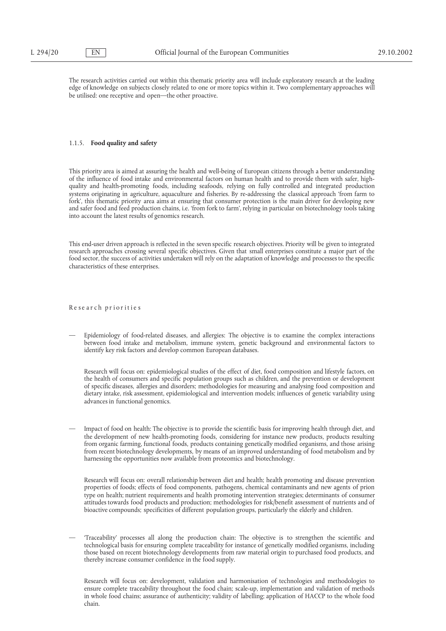The research activities carried out within this thematic priority area will include exploratory research at the leading edge of knowledge on subjects closely related to one or more topics within it. Two complementary approaches will be utilised: one receptive and open—the other proactive.

#### 1.1.5. **Food quality and safety**

This priority area is aimed at assuring the health and well-being of European citizens through a better understanding of the influence of food intake and environmental factors on human health and to provide them with safer, highquality and health-promoting foods, including seafoods, relying on fully controlled and integrated production systems originating in agriculture, aquaculture and fisheries. By re-addressing the classical approach 'from farm to fork', this thematic priority area aims at ensuring that consumer protection is the main driver for developing new and safer food and feed production chains, i.e. 'from fork to farm', relying in particular on biotechnology tools taking into account the latest results of genomics research.

This end-user driven approach is reflected in the seven specific research objectives. Priority will be given to integrated research approaches crossing several specific objectives. Given that small enterprises constitute a major part of the food sector, the success of activities undertaken will rely on the adaptation of knowledge and processes to the specific characteristics of these enterprises.

#### Re se ar ch pr ior itie s

— Epidemiology of food-related diseases, and allergies: The objective is to examine the complex interactions between food intake and metabolism, immune system, genetic background and environmental factors to identify key risk factors and develop common European databases.

Research will focus on: epidemiological studies of the effect of diet, food composition and lifestyle factors, on the health of consumers and specific population groups such as children, and the prevention or development of specific diseases, allergies and disorders; methodologies for measuring and analysing food composition and dietary intake, risk assessment, epidemiological and intervention models; influences of genetic variability using advances in functional genomics.

— Impact of food on health: The objective is to provide the scientific basis for improving health through diet, and the development of new health-promoting foods, considering for instance new products, products resulting from organic farming, functional foods, products containing genetically modified organisms, and those arising from recent biotechnology developments, by means of an improved understanding of food metabolism and by harnessing the opportunities now available from proteomics and biotechnology.

Research will focus on: overall relationship between diet and health; health promoting and disease prevention properties of foods; effects of food components, pathogens, chemical contaminants and new agents of prion type on health; nutrient requirements and health promoting intervention strategies; determinants of consumer attitudes towards food products and production; methodologies for risk/benefit assessment of nutrients and of bioactive compounds; specificities of different population groups, particularly the elderly and children.

— 'Traceability' processes all along the production chain: The objective is to strengthen the scientific and technological basis for ensuring complete traceability for instance of genetically modified organisms, including those based on recent biotechnology developments from raw material origin to purchased food products, and thereby increase consumer confidence in the food supply.

Research will focus on: development, validation and harmonisation of technologies and methodologies to ensure complete traceability throughout the food chain; scale-up, implementation and validation of methods in whole food chains; assurance of authenticity; validity of labelling; application of HACCP to the whole food chain.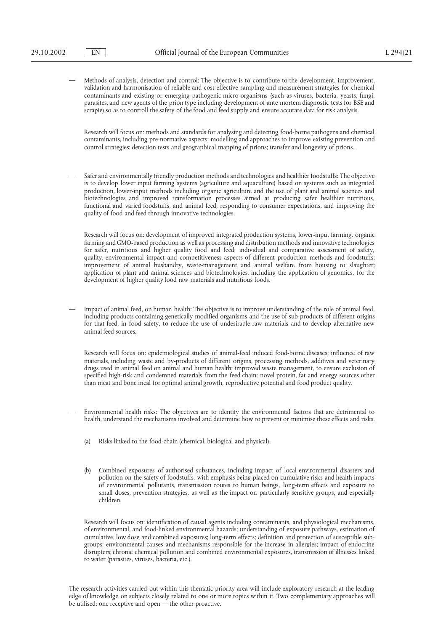— Methods of analysis, detection and control: The objective is to contribute to the development, improvement, validation and harmonisation of reliable and cost-effective sampling and measurement strategies for chemical contaminants and existing or emerging pathogenic micro-organisms (such as viruses, bacteria, yeasts, fungi, parasites, and new agents of the prion type including development of ante mortem diagnostic tests for BSE and scrapie) so as to controll the safety of the food and feed supply and ensure accurate data for risk analysis.

Research will focus on: methods and standards for analysing and detecting food-borne pathogens and chemical contaminants, including pre-normative aspects; modelling and approaches to improve existing prevention and control strategies; detection tests and geographical mapping of prions; transfer and longevity of prions.

— Safer and environmentally friendly production methods and technologies and healthier foodstuffs: The objective is to develop lower input farming systems (agriculture and aquaculture) based on systems such as integrated production, lower-input methods including organic agriculture and the use of plant and animal sciences and biotechnologies and improved transformation processes aimed at producing safer healthier nutritious, functional and varied foodstuffs, and animal feed, responding to consumer expectations, and improving the quality of food and feed through innovative technologies.

Research will focus on: development of improved integrated production systems, lower-input farming, organic farming and GMO-based production as well as processing and distribution methods and innovative technologies for safer, nutritious and higher quality food and feed; individual and comparative assessment of safety, quality, environmental impact and competitiveness aspects of different production methods and foodstuffs; improvement of animal husbandry, waste-management and animal welfare from housing to slaughter; application of plant and animal sciences and biotechnologies, including the application of genomics, for the development of higher quality food raw materials and nutritious foods.

— Impact of animal feed, on human health: The objective is to improve understanding of the role of animal feed, including products containing genetically modified organisms and the use of sub-products of different origins for that feed, in food safety, to reduce the use of undesirable raw materials and to develop alternative new animal feed sources.

Research will focus on: epidemiological studies of animal-feed induced food-borne diseases; influence of raw materials, including waste and by-products of different origins, processing methods, additives and veterinary drugs used in animal feed on animal and human health; improved waste management, to ensure exclusion of specified high-risk and condemned materials from the feed chain; novel protein, fat and energy sources other than meat and bone meal for optimal animal growth, reproductive potential and food product quality.

- Environmental health risks: The objectives are to identify the environmental factors that are detrimental to health, understand the mechanisms involved and determine how to prevent or minimise these effects and risks.
	- (a) Risks linked to the food-chain (chemical, biological and physical).
	- (b) Combined exposures of authorised substances, including impact of local environmental disasters and pollution on the safety of foodstuffs, with emphasis being placed on cumulative risks and health impacts of environmental pollutants, transmission routes to human beings, long-term effects and exposure to small doses, prevention strategies, as well as the impact on particularly sensitive groups, and especially children.

Research will focus on: identification of causal agents including contaminants, and physiological mechanisms, of environmental, and food-linked environmental hazards; understanding of exposure pathways, estimation of cumulative, low dose and combined exposures; long-term effects; definition and protection of susceptible subgroups; environmental causes and mechanisms responsible for the increase in allergies; impact of endocrine disrupters; chronic chemical pollution and combined environmental exposures, transmission of illnesses linked to water (parasites, viruses, bacteria, etc.).

The research activities carried out within this thematic priority area will include exploratory research at the leading edge of knowledge on subjects closely related to one or more topics within it. Two complementary approaches will be utilised: one receptive and open — the other proactive.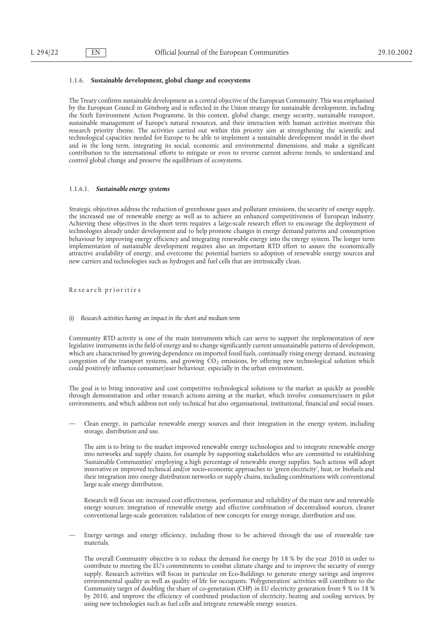## 1.1.6. **Sustainable development, global change and ecosystems**

The Treaty confirms sustainable development as a central objective of the European Community. This was emphasised by the European Council in Göteborg and is reflected in the Union strategy for sustainable development, including the Sixth Environment Action Programme. In this context, global change, energy security, sustainable transport, sustainable management of Europe's natural resources, and their interaction with human activities motivate this research priority theme. The activities carried out within this priority aim at strengthening the scientific and technological capacities needed for Europe to be able to implement a sustainable development model in the short and in the long term, integrating its social, economic and environmental dimensions, and make a significant contribution to the international efforts to mitigate or even to reverse current adverse trends, to understand and control global change and preserve the equilibrium of ecosystems.

#### 1.1.6.1. *Sustainable energy systems*

Strategic objectives address the reduction of greenhouse gases and pollutant emissions, the security of energy supply, the increased use of renewable energy as well as to achieve an enhanced competitiveness of European industry. Achieving these objectives in the short term requires a large-scale research effort to encourage the deployment of technologies already under development and to help promote changes in energy demand patterns and consumption behaviour by improving energy efficiency and integrating renewable energy into the energy system. The longer term implementation of sustainable development requires also an important RTD effort to assure the economically attractive availability of energy, and overcome the potential barriers to adoption of renewable energy sources and new carriers and technologies such as hydrogen and fuel cells that are intrinsically clean.

## Re se ar ch pr ior itie s

(i) *Research activities having an impact in the short and medium term*

Community RTD activity is one of the main instruments which can serve to support the implementation of new legislative instruments in the field of energy and to change significantly current unsustainable patterns of development, which are characterised by growing dependence on imported fossil fuels, continually rising energy demand, increasing congestion of the transport systems, and growing  $CO<sub>2</sub>$  emissions, by offering new technological solution which could positively influence consumer/user behaviour, especially in the urban environment.

The goal is to bring innovative and cost competitive technological solutions to the market as quickly as possible through demonstration and other research actions aiming at the market, which involve consumers/users in pilot environments, and which address not only technical but also organisational, institutional, financial and social issues.

— Clean energy, in particular renewable energy sources and their integration in the energy system, including storage, distribution and use.

The aim is to bring to the market improved renewable energy technologies and to integrate renewable energy into networks and supply chains, for example by supporting stakeholders who are committed to establishing 'Sustainable Communities' employing a high percentage of renewable energy supplies. Such actions will adopt innovative or improved technical and/or socio-economic approaches to 'green electricity', heat, or biofuels and their integration into energy distribution networks or supply chains, including combinations with conventional large scale energy distribution.

Research will focus on: increased cost effectiveness, performance and reliability of the main new and renewable energy sources; integration of renewable energy and effective combination of decentralised sources, cleaner conventional large-scale generation; validation of new concepts for energy storage, distribution and use.

— Energy savings and energy efficiency, including those to be achieved through the use of renewable raw materials.

The overall Community objective is to reduce the demand for energy by 18 % by the year 2010 in order to contribute to meeting the EU's commitments to combat climate change and to improve the security of energy supply. Research activities will focus in particular on Eco-Buildings to generate energy savings and improve environmental quality as well as quality of life for occupants. 'Polygeneration' activities will contribute to the Community target of doubling the share of co-generation (CHP) in EU electricity generation from 9 % to 18 % by 2010, and improve the efficiency of combined production of electricity, heating and cooling services, by using new technologies such as fuel cells and integrate renewable energy sources.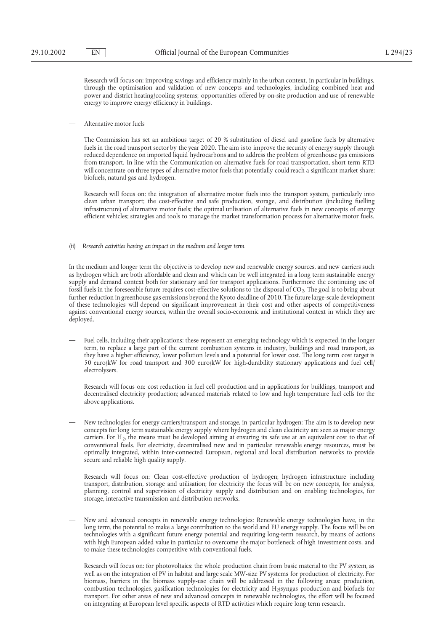Research will focus on: improving savings and efficiency mainly in the urban context, in particular in buildings, through the optimisation and validation of new concepts and technologies, including combined heat and power and district heating/cooling systems; opportunities offered by on-site production and use of renewable energy to improve energy efficiency in buildings.

— Alternative motor fuels

The Commission has set an ambitious target of 20 % substitution of diesel and gasoline fuels by alternative fuels in the road transport sector by the year 2020. The aim is to improve the security of energy supply through reduced dependence on imported liquid hydrocarbons and to address the problem of greenhouse gas emissions from transport. In line with the Communication on alternative fuels for road transportation, short term RTD will concentrate on three types of alternative motor fuels that potentially could reach a significant market share: biofuels, natural gas and hydrogen.

Research will focus on: the integration of alternative motor fuels into the transport system, particularly into clean urban transport; the cost-effective and safe production, storage, and distribution (including fuelling infrastructure) of alternative motor fuels; the optimal utilisation of alternative fuels in new concepts of energy efficient vehicles; strategies and tools to manage the market transformation process for alternative motor fuels.

#### (ii) *Research activities having an impact in the medium and longer term*

In the medium and longer term the objective is to develop new and renewable energy sources, and new carriers such as hydrogen which are both affordable and clean and which can be well integrated in a long term sustainable energy supply and demand context both for stationary and for transport applications. Furthermore the continuing use of fossil fuels in the foreseeable future requires cost-effective solutions to the disposal of CO<sub>2</sub>. The goal is to bring about further reduction in greenhouse gas emissions beyond the Kyoto deadline of 2010. The future large-scale development of these technologies will depend on significant improvement in their cost and other aspects of competitiveness against conventional energy sources, within the overall socio-economic and institutional context in which they are deployed.

— Fuel cells, including their applications: these represent an emerging technology which is expected, in the longer term, to replace a large part of the current combustion systems in industry, buildings and road transport, as they have a higher efficiency, lower pollution levels and a potential for lower cost. The long term cost target is 50 euro/kW for road transport and 300 euro/kW for high-durability stationary applications and fuel cell/ electrolysers.

Research will focus on: cost reduction in fuel cell production and in applications for buildings, transport and decentralised electricity production; advanced materials related to low and high temperature fuel cells for the above applications.

— New technologies for energy carriers/transport and storage, in particular hydrogen: The aim is to develop new concepts for long term sustainable energy supply where hydrogen and clean electricity are seen as major energy carriers. For H<sub>2</sub>, the means must be developed aiming at ensuring its safe use at an equivalent cost to that of conventional fuels. For electricity, decentralised new and in particular renewable energy resources, must be optimally integrated, within inter-connected European, regional and local distribution networks to provide secure and reliable high quality supply.

Research will focus on: Clean cost-effective production of hydrogen; hydrogen infrastructure including transport, distribution, storage and utilisation; for electricity the focus will be on new concepts, for analysis, planning, control and supervision of electricity supply and distribution and on enabling technologies, for storage, interactive transmission and distribution networks.

— New and advanced concepts in renewable energy technologies: Renewable energy technologies have, in the long term, the potential to make a large contribution to the world and EU energy supply. The focus will be on technologies with a significant future energy potential and requiring long-term research, by means of actions with high European added value in particular to overcome the major bottleneck of high investment costs, and to make these technologies competitive with conventional fuels.

Research will focus on: for photovoltaics: the whole production chain from basic material to the PV system, as well as on the integration of PV in habitat and large scale MW-size PV systems for production of electricity. For biomass, barriers in the biomass supply-use chain will be addressed in the following areas: production, combustion technologies, gasification technologies for electricity and  $H<sub>2</sub>/syngas$  production and biofuels for transport. For other areas of new and advanced concepts in renewable technologies, the effort will be focused on integrating at European level specific aspects of RTD activities which require long term research.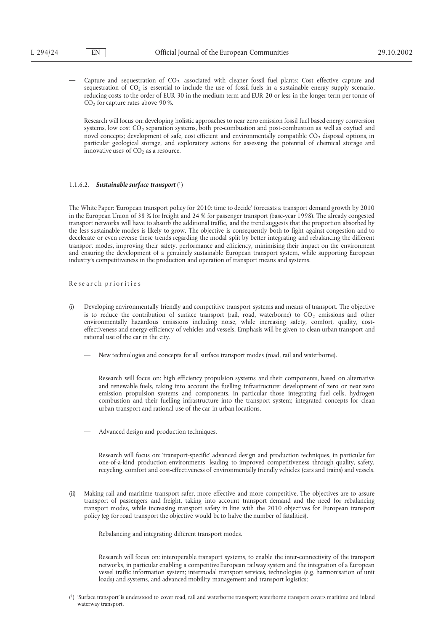Capture and sequestration of CO<sub>2</sub>, associated with cleaner fossil fuel plants: Cost effective capture and sequestration of  $CO<sub>2</sub>$  is essential to include the use of fossil fuels in a sustainable energy supply scenario, reducing costs to the order of EUR 30 in the medium term and EUR 20 or less in the longer term per tonne of  $CO<sub>2</sub>$  for capture rates above 90%.

Research will focus on: developing holistic approaches to near zero emission fossil fuel based energy conversion systems, low cost  $CO_2$  separation systems, both pre-combustion and post-combustion as well as oxyfuel and novel concepts; development of safe, cost efficient and environmentally compatible  $CO<sub>2</sub>$  disposal options, in particular geological storage, and exploratory actions for assessing the potential of chemical storage and innovative uses of  $CO<sub>2</sub>$  as a resource.

## 1.1.6.2. *Sustainable surface transport*(1)

The White Paper: 'European transport policy for 2010: time to decide' forecasts a transport demand growth by 2010 in the European Union of 38 % for freight and 24 % for passenger transport (base-year 1998). The already congested transport networks will have to absorb the additional traffic, and the trend suggests that the proportion absorbed by the less sustainable modes is likely to grow. The objective is consequently both to fight against congestion and to decelerate or even reverse these trends regarding the modal split by better integrating and rebalancing the different transport modes, improving their safety, performance and efficiency, minimising their impact on the environment and ensuring the development of a genuinely sustainable European transport system, while supporting European industry's competitiveness in the production and operation of transport means and systems.

#### Re se ar ch pr ior itie s

- Developing environmentally friendly and competitive transport systems and means of transport. The objective is to reduce the contribution of surface transport (rail, road, waterborne) to  $CO<sub>2</sub>$  emissions and other environmentally hazardous emissions including noise, while increasing safety, comfort, quality, costeffectiveness and energy-efficiency of vehicles and vessels. Emphasis will be given to clean urban transport and rational use of the car in the city.
	- New technologies and concepts for all surface transport modes (road, rail and waterborne).

Research will focus on: high efficiency propulsion systems and their components, based on alternative and renewable fuels, taking into account the fuelling infrastructure; development of zero or near zero emission propulsion systems and components, in particular those integrating fuel cells, hydrogen combustion and their fuelling infrastructure into the transport system; integrated concepts for clean urban transport and rational use of the car in urban locations.

— Advanced design and production techniques.

Research will focus on: 'transport-specific' advanced design and production techniques, in particular for one-of-a-kind production environments, leading to improved competitiveness through quality, safety, recycling, comfort and cost-effectiveness of environmentally friendly vehicles (cars and trains) and vessels.

- (ii) Making rail and maritime transport safer, more effective and more competitive. The objectives are to assure transport of passengers and freight, taking into account transport demand and the need for rebalancing transport modes, while increasing transport safety in line with the 2010 objectives for European transport policy (eg for road transport the objective would be to halve the number of fatalities).
	- Rebalancing and integrating different transport modes.

Research will focus on: interoperable transport systems, to enable the inter-connectivity of the transport networks, in particular enabling a competitive European railway system and the integration of a European vessel traffic information system; intermodal transport services, technologies (e.g. harmonisation of unit loads) and systems, and advanced mobility management and transport logistics;

<sup>(1) &#</sup>x27;Surface transport' is understood to cover road, rail and waterborne transport; waterborne transport covers maritime and inland waterway transport.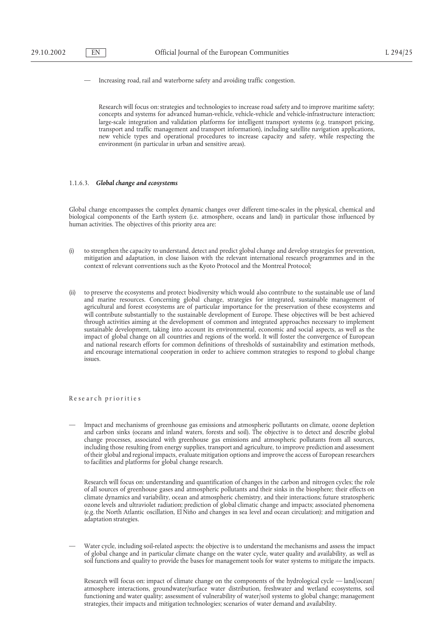— Increasing road, rail and waterborne safety and avoiding traffic congestion.

Research will focus on: strategies and technologies to increase road safety and to improve maritime safety; concepts and systems for advanced human-vehicle, vehicle-vehicle and vehicle-infrastructure interaction; large-scale integration and validation platforms for intelligent transport systems (e.g. transport pricing, transport and traffic management and transport information), including satellite navigation applications, new vehicle types and operational procedures to increase capacity and safety, while respecting the environment (in particular in urban and sensitive areas).

## 1.1.6.3. *Global change and ecosystems*

Global change encompasses the complex dynamic changes over different time-scales in the physical, chemical and biological components of the Earth system (i.e. atmosphere, oceans and land) in particular those influenced by human activities. The objectives of this priority area are:

- (i) to strengthen the capacity to understand, detect and predict global change and develop strategies for prevention, mitigation and adaptation, in close liaison with the relevant international research programmes and in the context of relevant conventions such as the Kyoto Protocol and the Montreal Protocol;
- to preserve the ecosystems and protect biodiversity which would also contribute to the sustainable use of land and marine resources. Concerning global change, strategies for integrated, sustainable management of agricultural and forest ecosystems are of particular importance for the preservation of these ecosystems and will contribute substantially to the sustainable development of Europe. These objectives will be best achieved through activities aiming at the development of common and integrated approaches necessary to implement sustainable development, taking into account its environmental, economic and social aspects, as well as the impact of global change on all countries and regions of the world. It will foster the convergence of European and national research efforts for common definitions of thresholds of sustainability and estimation methods, and encourage international cooperation in order to achieve common strategies to respond to global change issues.

# Re se ar ch pr ior itie s

— Impact and mechanisms of greenhouse gas emissions and atmospheric pollutants on climate, ozone depletion and carbon sinks (oceans and inland waters, forests and soil). The objective is to detect and describe global change processes, associated with greenhouse gas emissions and atmospheric pollutants from all sources, including those resulting from energy supplies, transport and agriculture, to improve prediction and assessment of their global and regional impacts, evaluate mitigation options and improve the access of European researchers to facilities and platforms for global change research.

Research will focus on: understanding and quantification of changes in the carbon and nitrogen cycles; the role of all sources of greenhouse gases and atmospheric pollutants and their sinks in the biosphere; their effects on climate dynamics and variability, ocean and atmospheric chemistry, and their interactions; future stratospheric ozone levels and ultraviolet radiation; prediction of global climatic change and impacts; associated phenomena (e.g. the North Atlantic oscillation, El Niño and changes in sea level and ocean circulation); and mitigation and adaptation strategies.

— Water cycle, including soil-related aspects: the objective is to understand the mechanisms and assess the impact of global change and in particular climate change on the water cycle, water quality and availability, as well as soil functions and quality to provide the bases for management tools for water systems to mitigate the impacts.

Research will focus on: impact of climate change on the components of the hydrological cycle — land/ocean/ atmosphere interactions, groundwater/surface water distribution, freshwater and wetland ecosystems, soil functioning and water quality; assessment of vulnerability of water/soil systems to global change; management strategies, their impacts and mitigation technologies; scenarios of water demand and availability.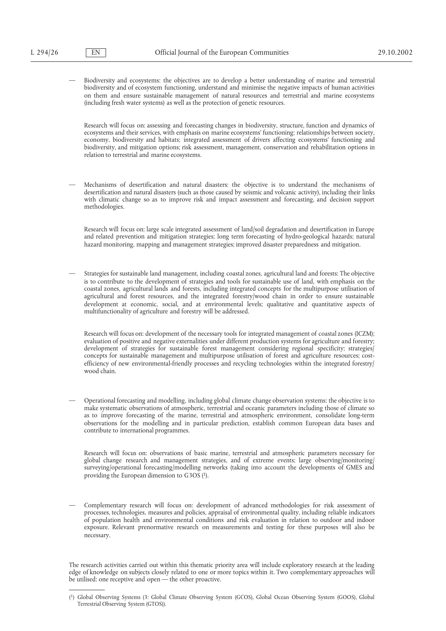— Biodiversity and ecosystems: the objectives are to develop a better understanding of marine and terrestrial biodiversity and of ecosystem functioning, understand and minimise the negative impacts of human activities on them and ensure sustainable management of natural resources and terrestrial and marine ecosystems (including fresh water systems) as well as the protection of genetic resources.

Research will focus on: assessing and forecasting changes in biodiversity, structure, function and dynamics of ecosystems and their services, with emphasis on marine ecosystems' functioning; relationships between society, economy, biodiversity and habitats; integrated assessment of drivers affecting ecosystems' functioning and biodiversity, and mitigation options; risk assessment, management, conservation and rehabilitation options in relation to terrestrial and marine ecosystems.

— Mechanisms of desertification and natural disasters: the objective is to understand the mechanisms of desertification and natural disasters (such as those caused by seismic and volcanic activity), including their links with climatic change so as to improve risk and impact assessment and forecasting, and decision support methodologies.

Research will focus on: large scale integrated assessment of land/soil degradation and desertification in Europe and related prevention and mitigation strategies; long term forecasting of hydro-geological hazards; natural hazard monitoring, mapping and management strategies; improved disaster preparedness and mitigation.

— Strategies for sustainable land management, including coastal zones, agricultural land and forests: The objective is to contribute to the development of strategies and tools for sustainable use of land, with emphasis on the coastal zones, agricultural lands and forests, including integrated concepts for the multipurpose utilisation of agricultural and forest resources, and the integrated forestry/wood chain in order to ensure sustainable development at economic, social, and at environmental levels; qualitative and quantitative aspects of multifunctionality of agriculture and forestry will be addressed.

Research will focus on: development of the necessary tools for integrated management of coastal zones (ICZM); evaluation of positive and negative externalities under different production systems for agriculture and forestry; development of strategies for sustainable forest management considering regional specificity; strategies/ concepts for sustainable management and multipurpose utilisation of forest and agriculture resources; costefficiency of new environmental-friendly processes and recycling technologies within the integrated forestry/ wood chain.

— Operational forecasting and modelling, including global climate change observation systems: the objective is to make systematic observations of atmospheric, terrestrial and oceanic parameters including those of climate so as to improve forecasting of the marine, terrestrial and atmospheric environment, consolidate long-term observations for the modelling and in particular prediction, establish common European data bases and contribute to international programmes.

Research will focus on: observations of basic marine, terrestrial and atmospheric parameters necessary for global change research and management strategies, and of extreme events; large observing/monitoring/ surveying/operational forecasting/modelling networks (taking into account the developments of GMES and providing the European dimension to G3OS (1).

— Complementary research will focus on: development of advanced methodologies for risk assessment of processes, technologies, measures and policies, appraisal of environmental quality, including reliable indicators of population health and environmental conditions and risk evaluation in relation to outdoor and indoor exposure. Relevant prenormative research on measurements and testing for these purposes will also be necessary.

The research activities carried out within this thematic priority area will include exploratory research at the leading edge of knowledge on subjects closely related to one or more topics within it. Two complementary approaches will be utilised: one receptive and open — the other proactive.

<sup>(1)</sup> Global Observing Systems (3: Global Climate Observing System (GCOS), Global Ocean Observing System (GOOS), Global Terrestrial Observing System (GTOS)).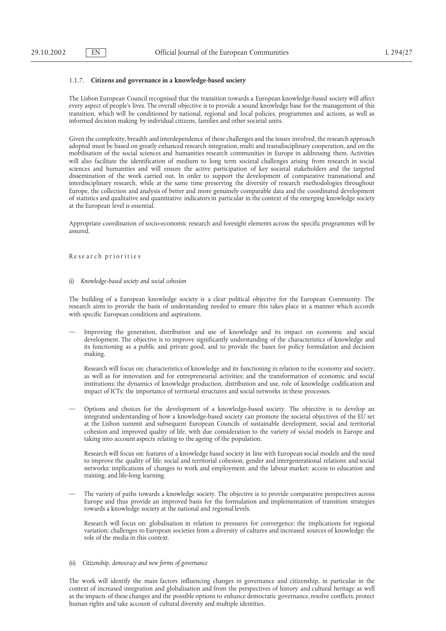### 1.1.7. **Citizens and governance in a knowledge-based society**

The Lisbon European Council recognised that the transition towards a European knowledge-based society will affect every aspect of people's lives. The overall objective is to provide a sound knowledge base for the management of this transition, which will be conditioned by national, regional and local policies, programmes and actions, as well as informed decision making by individual citizens, families and other societal units.

Given the complexity, breadth and interdependence of these challenges and the issues involved, the research approach adopted must be based on greatly enhanced research integration, multi and transdisciplinary cooperation, and on the mobilisation of the social sciences and humanities research communities in Europe in addressing them. Activities will also facilitate the identification of medium to long term societal challenges arising from research in social sciences and humanities and will ensure the active participation of key societal stakeholders and the targeted dissemination of the work carried out. In order to support the development of comparative transnational and interdisciplinary research, while at the same time preserving the diversity of research methodologies throughout Europe, the collection and analysis of better and more genuinely comparable data and the coordinated development of statistics and qualitative and quantitative indicators in particular in the context of the emerging knowledge society at the European level is essential.

Appropriate coordination of socio-economic research and foresight elements across the specific programmes will be assured.

Re se ar ch pr ior itie s

#### (i) *Knowledge-based society and social cohesion*

The building of a European knowledge society is a clear political objective for the European Community. The research aims to provide the basis of understanding needed to ensure this takes place in a manner which accords with specific European conditions and aspirations.

— Improving the generation, distribution and use of knowledge and its impact on economic and social development. The objective is to improve significantly understanding of the characteristics of knowledge and its functioning as a public and private good, and to provide the bases for policy formulation and decision making.

Research will focus on: characteristics of knowledge and its functioning in relation to the economy and society, as well as for innovation and for entrepreneurial activities; and the transformation of economic and social institutions; the dynamics of knowledge production, distribution and use, role of knowledge codification and impact of ICTs; the importance of territorial structures and social networks in these processes.

— Options and choices for the development of a knowledge-based society. The objective is to develop an integrated understanding of how a knowledge-based society can promote the societal objectives of the EU set at the Lisbon summit and subsequent European Councils of sustainable development, social and territorial cohesion and improved quality of life, with due consideration to the variety of social models in Europe and taking into account aspects relating to the ageing of the population.

Research will focus on: features of a knowledge based society in line with European social models and the need to improve the quality of life; social and territorial cohesion, gender and intergenerational relations and social networks; implications of changes to work and employment, and the labour market; access to education and training, and life-long learning.

— The variety of paths towards a knowledge society. The objective is to provide comparative perspectives across Europe and thus provide an improved basis for the formulation and implementation of transition strategies towards a knowledge society at the national and regional levels.

Research will focus on: globalisation in relation to pressures for convergence; the implications for regional variation; challenges to European societies from a diversity of cultures and increased sources of knowledge; the role of the media in this context.

## (ii) *Citizenship, democracy and new forms of governance*

The work will identify the main factors influencing changes in governance and citizenship, in particular in the context of increased integration and globalisation and from the perspectives of history and cultural heritage as well as the impacts of these changes and the possible options to enhance democratic governance, resolve conflicts, protect human rights and take account of cultural diversity and multiple identities.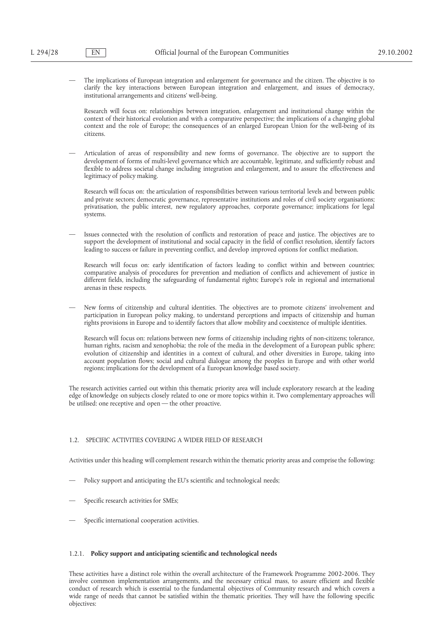— The implications of European integration and enlargement for governance and the citizen. The objective is to clarify the key interactions between European integration and enlargement, and issues of democracy, institutional arrangements and citizens' well-being.

Research will focus on: relationships between integration, enlargement and institutional change within the context of their historical evolution and with a comparative perspective; the implications of a changing global context and the role of Europe; the consequences of an enlarged European Union for the well-being of its citizens.

— Articulation of areas of responsibility and new forms of governance. The objective are to support the development of forms of multi-level governance which are accountable, legitimate, and sufficiently robust and flexible to address societal change including integration and enlargement, and to assure the effectiveness and legitimacy of policy making.

Research will focus on: the articulation of responsibilities between various territorial levels and between public and private sectors; democratic governance, representative institutions and roles of civil society organisations; privatisation, the public interest, new regulatory approaches, corporate governance; implications for legal systems.

— Issues connected with the resolution of conflicts and restoration of peace and justice. The objectives are to support the development of institutional and social capacity in the field of conflict resolution, identify factors leading to success or failure in preventing conflict, and develop improved options for conflict mediation.

Research will focus on: early identification of factors leading to conflict within and between countries; comparative analysis of procedures for prevention and mediation of conflicts and achievement of justice in different fields, including the safeguarding of fundamental rights; Europe's role in regional and international arenas in these respects.

— New forms of citizenship and cultural identities. The objectives are to promote citizens' involvement and participation in European policy making, to understand perceptions and impacts of citizenship and human rights provisions in Europe and to identify factors that allow mobility and coexistence of multiple identities.

Research will focus on: relations between new forms of citizenship including rights of non-citizens; tolerance, human rights, racism and xenophobia; the role of the media in the development of a European public sphere; evolution of citizenship and identities in a context of cultural, and other diversities in Europe, taking into account population flows; social and cultural dialogue among the peoples in Europe and with other world regions; implications for the development of a European knowledge based society.

The research activities carried out within this thematic priority area will include exploratory research at the leading edge of knowledge on subjects closely related to one or more topics within it. Two complementary approaches will be utilised: one receptive and open — the other proactive.

## 1.2. SPECIFIC ACTIVITIES COVERING A WIDER FIELD OF RESEARCH

Activities under this heading will complement research within the thematic priority areas and comprise the following:

- Policy support and anticipating the EU's scientific and technological needs;
- Specific research activities for SMEs;
- Specific international cooperation activities.

## 1.2.1. **Policy support and anticipating scientific and technological needs**

These activities have a distinct role within the overall architecture of the Framework Programme 2002-2006. They involve common implementation arrangements, and the necessary critical mass, to assure efficient and flexible conduct of research which is essential to the fundamental objectives of Community research and which covers a wide range of needs that cannot be satisfied within the thematic priorities. They will have the following specific objectives: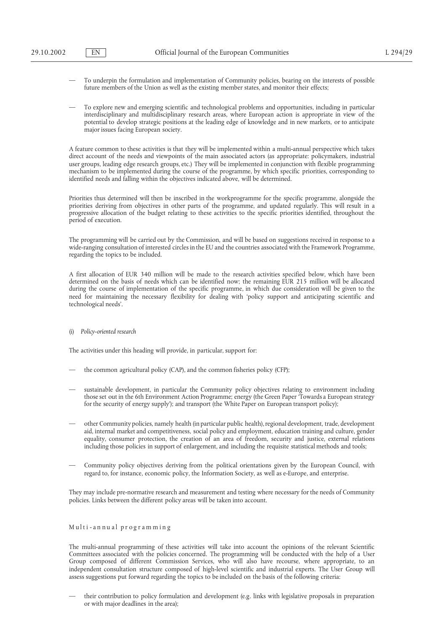- To underpin the formulation and implementation of Community policies, bearing on the interests of possible future members of the Union as well as the existing member states, and monitor their effects;
- To explore new and emerging scientific and technological problems and opportunities, including in particular interdisciplinary and multidisciplinary research areas, where European action is appropriate in view of the potential to develop strategic positions at the leading edge of knowledge and in new markets, or to anticipate major issues facing European society.

A feature common to these activities is that they will be implemented within a multi-annual perspective which takes direct account of the needs and viewpoints of the main associated actors (as appropriate: policymakers, industrial user groups, leading edge research groups, etc.) They will be implemented in conjunction with flexible programming mechanism to be implemented during the course of the programme, by which specific priorities, corresponding to identified needs and falling within the objectives indicated above, will be determined.

Priorities thus determined will then be inscribed in the workprogramme for the specific programme, alongside the priorities deriving from objectives in other parts of the programme, and updated regularly. This will result in a progressive allocation of the budget relating to these activities to the specific priorities identified, throughout the period of execution.

The programming will be carried out by the Commission, and will be based on suggestions received in response to a wide-ranging consultation of interested circles in the EU and the countries associated with the Framework Programme, regarding the topics to be included.

A first allocation of EUR 340 million will be made to the research activities specified below, which have been determined on the basis of needs which can be identified now; the remaining EUR 215 million will be allocated during the course of implementation of the specific programme, in which due consideration will be given to the need for maintaining the necessary flexibility for dealing with 'policy support and anticipating scientific and technological needs'.

#### (i) *Policy-oriented research*

The activities under this heading will provide, in particular, support for:

- the common agricultural policy (CAP), and the common fisheries policy (CFP);
- sustainable development, in particular the Community policy objectives relating to environment including those set out in the 6th Environment Action Programme; energy (the Green Paper 'Towards a European strategy for the security of energy supply'); and transport (the White Paper on European transport policy);
- other Community policies, namely health (in particular public health), regional development, trade, development aid, internal market and competitiveness, social policy and employment, education training and culture, gender equality, consumer protection, the creation of an area of freedom, security and justice, external relations including those policies in support of enlargement, and including the requisite statistical methods and tools;
- Community policy objectives deriving from the political orientations given by the European Council, with regard to, for instance, economic policy, the Information Society, as well as e-Europe, and enterprise.

They may include pre-normative research and measurement and testing where necessary for the needs of Community policies. Links between the different policy areas will be taken into account.

#### Multi -annual programming

The multi-annual programming of these activities will take into account the opinions of the relevant Scientific Committees associated with the policies concerned. The programming will be conducted with the help of a User Group composed of different Commission Services, who will also have recourse, where appropriate, to an independent consultation structure composed of high-level scientific and industrial experts. The User Group will assess suggestions put forward regarding the topics to be included on the basis of the following criteria:

— their contribution to policy formulation and development (e.g. links with legislative proposals in preparation or with major deadlines in the area);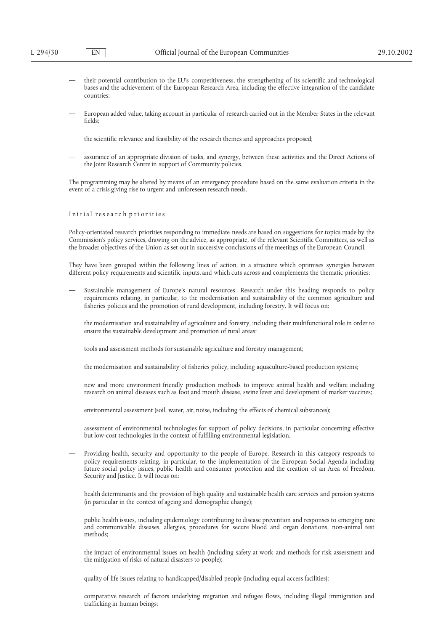- their potential contribution to the EU's competitiveness, the strengthening of its scientific and technological bases and the achievement of the European Research Area, including the effective integration of the candidate countries;
- European added value, taking account in particular of research carried out in the Member States in the relevant fields;
- the scientific relevance and feasibility of the research themes and approaches proposed;
- assurance of an appropriate division of tasks, and synergy, between these activities and the Direct Actions of the Joint Research Centre in support of Community policies.

The programming may be altered by means of an emergency procedure based on the same evaluation criteria in the event of a crisis giving rise to urgent and unforeseen research needs.

## Ini tial researc h pri orities

Policy-orientated research priorities responding to immediate needs are based on suggestions for topics made by the Commission's policy services, drawing on the advice, as appropriate, of the relevant Scientific Committees, as well as the broader objectives of the Union as set out in successive conclusions of the meetings of the European Council.

They have been grouped within the following lines of action, in a structure which optimises synergies between different policy requirements and scientific inputs, and which cuts across and complements the thematic priorities:

— Sustainable management of Europe's natural resources. Research under this heading responds to policy requirements relating, in particular, to the modernisation and sustainability of the common agriculture and fisheries policies and the promotion of rural development, including forestry. It will focus on:

the modernisation and sustainability of agriculture and forestry, including their multifunctional role in order to ensure the sustainable development and promotion of rural areas;

tools and assessment methods for sustainable agriculture and forestry management;

the modernisation and sustainability of fisheries policy, including aquaculture-based production systems;

new and more environment friendly production methods to improve animal health and welfare including research on animal diseases such as foot and mouth disease, swine fever and development of marker vaccines;

environmental assessment (soil, water, air, noise, including the effects of chemical substances);

assessment of environmental technologies for support of policy decisions, in particular concerning effective but low-cost technologies in the context of fulfilling environmental legislation.

— Providing health, security and opportunity to the people of Europe. Research in this category responds to policy requirements relating, in particular, to the implementation of the European Social Agenda including future social policy issues, public health and consumer protection and the creation of an Area of Freedom, Security and Justice. It will focus on:

health determinants and the provision of high quality and sustainable health care services and pension systems (in particular in the context of ageing and demographic change);

public health issues, including epidemiology contributing to disease prevention and responses to emerging rare and communicable diseases, allergies, procedures for secure blood and organ donations, non-animal test methods;

the impact of environmental issues on health (including safety at work and methods for risk assessment and the mitigation of risks of natural disasters to people);

quality of life issues relating to handicapped/disabled people (including equal access facilities);

comparative research of factors underlying migration and refugee flows, including illegal immigration and trafficking in human beings;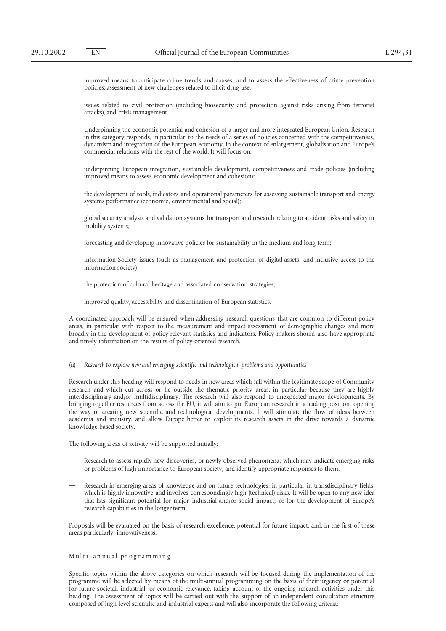improved means to anticipate crime trends and causes, and to assess the effectiveness of crime prevention policies; assessment of new challenges related to illicit drug use;

issues related to civil protection (including biosecurity and protection against risks arising from terrorist attacks), and crisis management.

— Underpinning the economic potential and cohesion of a larger and more integrated European Union. Research in this category responds, in particular, to the needs of a series of policies concerned with the competitiveness, dynamism and integration of the European economy, in the context of enlargement, globalisation and Europe's commercial relations with the rest of the world. It will focus on:

underpinning European integration, sustainable development, competitiveness and trade policies (including improved means to assess economic development and cohesion);

the development of tools, indicators and operational parameters for assessing sustainable transport and energy systems performance (economic, environmental and social);

global security analysis and validation systems for transport and research relating to accident risks and safety in mobility systems;

forecasting and developing innovative policies for sustainability in the medium and long term;

Information Society issues (such as management and protection of digital assets, and inclusive access to the information society);

the protection of cultural heritage and associated conservation strategies;

improved quality, accessibility and dissemination of European statistics.

A coordinated approach will be ensured when addressing research questions that are common to different policy areas, in particular with respect to the measurement and impact assessment of demographic changes and more broadly in the development of policy-relevant statistics and indicators. Policy makers should also have appropriate and timely information on the results of policy-oriented research.

(ii) *Research to explore new and emerging scientific and technological problems and opportunities*

Research under this heading will respond to needs in new areas which fall within the legitimate scope of Community research and which cut across or lie outside the thematic priority areas, in particular because they are highly interdisciplinary and/or multidisciplinary. The research will also respond to unexpected major developments. By bringing together resources from across the EU, it will aim to put European research in a leading position, opening the way or creating new scientific and technological developments. It will stimulate the flow of ideas between academia and industry, and allow Europe better to exploit its research assets in the drive towards a dynamic knowledge-based society.

The following areas of activity will be supported initially:

- Research to assess rapidly new discoveries, or newly-observed phenomena, which may indicate emerging risks or problems of high importance to European society, and identify appropriate responses to them.
- Research in emerging areas of knowledge and on future technologies, in particular in transdisciplinary fields, which is highly innovative and involves correspondingly high (technical) risks. It will be open to any new idea that has significant potential for major industrial and/or social impact, or for the development of Europe's research capabilities in the longer term.

Proposals will be evaluated on the basis of research excellence, potential for future impact, and, in the first of these areas particularly, innovativeness.

## Multi -annual programming

Specific topics within the above categories on which research will be focused during the implementation of the programme will be selected by means of the multi-annual programming on the basis of their urgency or potential for future societal, industrial, or economic relevance, taking account of the ongoing research activities under this heading. The assessment of topics will be carried out with the support of an independent consultation structure composed of high-level scientific and industrial experts and will also incorporate the following criteria: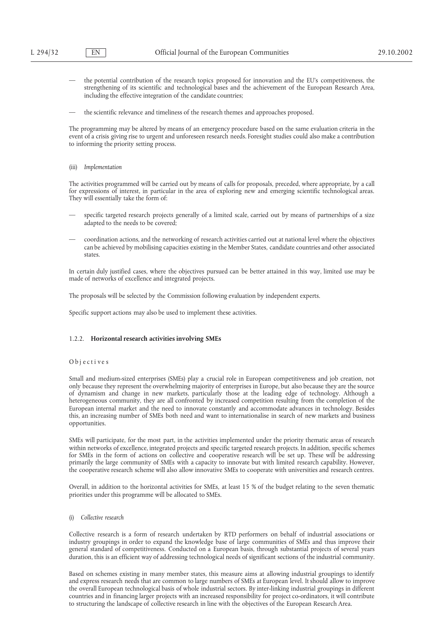- the potential contribution of the research topics proposed for innovation and the EU's competitiveness, the strengthening of its scientific and technological bases and the achievement of the European Research Area, including the effective integration of the candidate countries;
- the scientific relevance and timeliness of the research themes and approaches proposed.

The programming may be altered by means of an emergency procedure based on the same evaluation criteria in the event of a crisis giving rise to urgent and unforeseen research needs. Foresight studies could also make a contribution to informing the priority setting process.

#### (iii) *Implementation*

The activities programmed will be carried out by means of calls for proposals, preceded, where appropriate, by a call for expressions of interest, in particular in the area of exploring new and emerging scientific technological areas. They will essentially take the form of:

- specific targeted research projects generally of a limited scale, carried out by means of partnerships of a size adapted to the needs to be covered;
- coordination actions, and the networking of research activities carried out at national level where the objectives can be achieved by mobilising capacities existing in the Member States, candidate countries and other associated states.

In certain duly justified cases, where the objectives pursued can be better attained in this way, limited use may be made of networks of excellence and integrated projects.

The proposals will be selected by the Commission following evaluation by independent experts.

Specific support actions may also be used to implement these activities.

## 1.2.2. **Horizontal research activities involving SMEs**

#### Obj ecti ve s

Small and medium-sized enterprises (SMEs) play a crucial role in European competitiveness and job creation, not only because they represent the overwhelming majority of enterprises in Europe, but also because they are the source of dynamism and change in new markets, particularly those at the leading edge of technology. Although a heterogeneous community, they are all confronted by increased competition resulting from the completion of the European internal market and the need to innovate constantly and accommodate advances in technology. Besides this, an increasing number of SMEs both need and want to internationalise in search of new markets and business opportunities.

SMEs will participate, for the most part, in the activities implemented under the priority thematic areas of research within networks of excellence, integrated projects and specific targeted research projects. In addition, specific schemes for SMEs in the form of actions on collective and cooperative research will be set up. These will be addressing primarily the large community of SMEs with a capacity to innovate but with limited research capability. However, the cooperative research scheme will also allow innovative SMEs to cooperate with universities and research centres.

Overall, in addition to the horizontal activities for SMEs, at least 15 % of the budget relating to the seven thematic priorities under this programme will be allocated to SMEs.

(i) *Collective research*

Collective research is a form of research undertaken by RTD performers on behalf of industrial associations or industry groupings in order to expand the knowledge base of large communities of SMEs and thus improve their general standard of competitiveness. Conducted on a European basis, through substantial projects of several years duration, this is an efficient way of addressing technological needs of significant sections of the industrial community.

Based on schemes existing in many member states, this measure aims at allowing industrial groupings to identify and express research needs that are common to large numbers of SMEs at European level. It should allow to improve the overall European technological basis of whole industrial sectors. By inter-linking industrial groupings in different countries and in financing larger projects with an increased responsibility for project co-ordinators, it will contribute to structuring the landscape of collective research in line with the objectives of the European Research Area.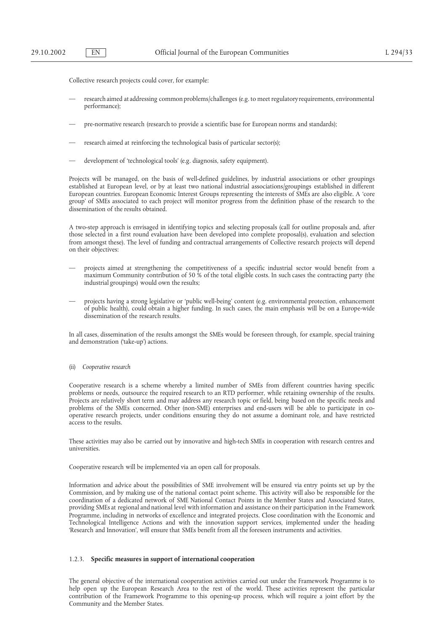Collective research projects could cover, for example:

- research aimed at addressing common problems/challenges (e.g. to meet regulatory requirements, environmental performance);
- pre-normative research (research to provide a scientific base for European norms and standards);
- research aimed at reinforcing the technological basis of particular sector(s);
- development of 'technological tools' (e.g. diagnosis, safety equipment).

Projects will be managed, on the basis of well-defined guidelines, by industrial associations or other groupings established at European level, or by at least two national industrial associations/groupings established in different European countries. European Economic Interest Groups representing the interests of SMEs are also eligible. A 'core group' of SMEs associated to each project will monitor progress from the definition phase of the research to the dissemination of the results obtained.

A two-step approach is envisaged in identifying topics and selecting proposals (call for outline proposals and, after those selected in a first round evaluation have been developed into complete proposal(s), evaluation and selection from amongst these). The level of funding and contractual arrangements of Collective research projects will depend on their objectives:

- projects aimed at strengthening the competitiveness of a specific industrial sector would benefit from a maximum Community contribution of 50 % of the total eligible costs. In such cases the contracting party (the industrial groupings) would own the results;
- projects having a strong legislative or 'public well-being' content (e.g. environmental protection, enhancement of public health), could obtain a higher funding. In such cases, the main emphasis will be on a Europe-wide dissemination of the research results.

In all cases, dissemination of the results amongst the SMEs would be foreseen through, for example, special training and demonstration ('take-up') actions.

(ii) *Cooperative research*

Cooperative research is a scheme whereby a limited number of SMEs from different countries having specific problems or needs, outsource the required research to an RTD performer, while retaining ownership of the results. Projects are relatively short term and may address any research topic or field, being based on the specific needs and problems of the SMEs concerned. Other (non-SME) enterprises and end-users will be able to participate in cooperative research projects, under conditions ensuring they do not assume a dominant role, and have restricted access to the results.

These activities may also be carried out by innovative and high-tech SMEs in cooperation with research centres and universities.

Cooperative research will be implemented via an open call for proposals.

Information and advice about the possibilities of SME involvement will be ensured via entry points set up by the Commission, and by making use of the national contact point scheme. This activity will also be responsible for the coordination of a dedicated network of SME National Contact Points in the Member States and Associated States, providing SMEs at regional and national level with information and assistance on their participation in the Framework Programme, including in networks of excellence and integrated projects. Close coordination with the Economic and Technological Intelligence Actions and with the innovation support services, implemented under the heading 'Research and Innovation', will ensure that SMEs benefit from all the foreseen instruments and activities.

#### 1.2.3. **Specific measures in support of international cooperation**

The general objective of the international cooperation activities carried out under the Framework Programme is to help open up the European Research Area to the rest of the world. These activities represent the particular contribution of the Framework Programme to this opening-up process, which will require a joint effort by the Community and the Member States.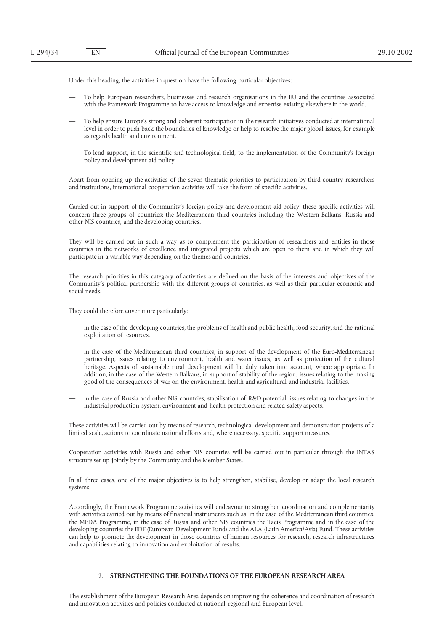Under this heading, the activities in question have the following particular objectives:

- To help European researchers, businesses and research organisations in the EU and the countries associated with the Framework Programme to have access to knowledge and expertise existing elsewhere in the world.
- To help ensure Europe's strong and coherent participation in the research initiatives conducted at international level in order to push back the boundaries of knowledge or help to resolve the major global issues, for example as regards health and environment.
- To lend support, in the scientific and technological field, to the implementation of the Community's foreign policy and development aid policy.

Apart from opening up the activities of the seven thematic priorities to participation by third-country researchers and institutions, international cooperation activities will take the form of specific activities.

Carried out in support of the Community's foreign policy and development aid policy, these specific activities will concern three groups of countries: the Mediterranean third countries including the Western Balkans, Russia and other NIS countries, and the developing countries.

They will be carried out in such a way as to complement the participation of researchers and entities in those countries in the networks of excellence and integrated projects which are open to them and in which they will participate in a variable way depending on the themes and countries.

The research priorities in this category of activities are defined on the basis of the interests and objectives of the Community's political partnership with the different groups of countries, as well as their particular economic and social needs.

They could therefore cover more particularly:

- in the case of the developing countries, the problems of health and public health, food security, and the rational exploitation of resources.
- in the case of the Mediterranean third countries, in support of the development of the Euro-Mediterranean partnership, issues relating to environment, health and water issues, as well as protection of the cultural heritage. Aspects of sustainable rural development will be duly taken into account, where appropriate. In addition, in the case of the Western Balkans, in support of stability of the region, issues relating to the making good of the consequences of war on the environment, health and agricultural and industrial facilities.
- in the case of Russia and other NIS countries, stabilisation of R&D potential, issues relating to changes in the industrial production system, environment and health protection and related safety aspects.

These activities will be carried out by means of research, technological development and demonstration projects of a limited scale, actions to coordinate national efforts and, where necessary, specific support measures.

Cooperation activities with Russia and other NIS countries will be carried out in particular through the INTAS structure set up jointly by the Community and the Member States.

In all three cases, one of the major objectives is to help strengthen, stabilise, develop or adapt the local research systems.

Accordingly, the Framework Programme activities will endeavour to strengthen coordination and complementarity with activities carried out by means of financial instruments such as, in the case of the Mediterranean third countries, the MEDA Programme, in the case of Russia and other NIS countries the Tacis Programme and in the case of the developing countries the EDF (European Development Fund) and the ALA (Latin America/Asia) Fund. These activities can help to promote the development in those countries of human resources for research, research infrastructures and capabilities relating to innovation and exploitation of results.

### 2. **STRENGTHENING THE FOUNDATIONS OF THE EUROPEAN RESEARCH AREA**

The establishment of the European Research Area depends on improving the coherence and coordination of research and innovation activities and policies conducted at national, regional and European level.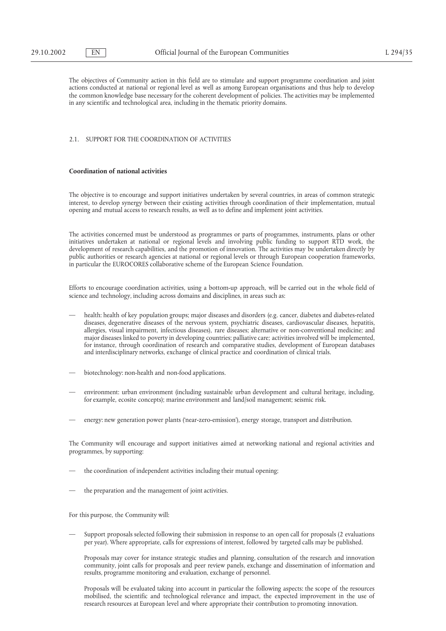The objectives of Community action in this field are to stimulate and support programme coordination and joint actions conducted at national or regional level as well as among European organisations and thus help to develop the common knowledge base necessary for the coherent development of policies. The activities may be implemented in any scientific and technological area, including in the thematic priority domains.

#### 2.1. SUPPORT FOR THE COORDINATION OF ACTIVITIES

## **Coordination of national activities**

The objective is to encourage and support initiatives undertaken by several countries, in areas of common strategic interest, to develop synergy between their existing activities through coordination of their implementation, mutual opening and mutual access to research results, as well as to define and implement joint activities.

The activities concerned must be understood as programmes or parts of programmes, instruments, plans or other initiatives undertaken at national or regional levels and involving public funding to support RTD work, the development of research capabilities, and the promotion of innovation. The activities may be undertaken directly by public authorities or research agencies at national or regional levels or through European cooperation frameworks, in particular the EUROCORES collaborative scheme of the European Science Foundation.

Efforts to encourage coordination activities, using a bottom-up approach, will be carried out in the whole field of science and technology, including across domains and disciplines, in areas such as:

- health: health of key population groups; major diseases and disorders (e.g. cancer, diabetes and diabetes-related diseases, degenerative diseases of the nervous system, psychiatric diseases, cardiovascular diseases, hepatitis, allergies, visual impairment, infectious diseases), rare diseases; alternative or non-conventional medicine; and major diseases linked to poverty in developing countries; palliative care; activities involved will be implemented, for instance, through coordination of research and comparative studies, development of European databases and interdisciplinary networks, exchange of clinical practice and coordination of clinical trials.
- biotechnology: non-health and non-food applications.
- environment: urban environment (including sustainable urban development and cultural heritage, including, for example, ecosite concepts); marine environment and land/soil management; seismic risk.
- energy: new generation power plants ('near-zero-emission'), energy storage, transport and distribution.

The Community will encourage and support initiatives aimed at networking national and regional activities and programmes, by supporting:

- the coordination of independent activities including their mutual opening;
- the preparation and the management of joint activities.

For this purpose, the Community will:

Support proposals selected following their submission in response to an open call for proposals (2 evaluations per year). Where appropriate, calls for expressions of interest, followed by targeted calls may be published.

Proposals may cover for instance strategic studies and planning, consultation of the research and innovation community, joint calls for proposals and peer review panels, exchange and dissemination of information and results, programme monitoring and evaluation, exchange of personnel.

Proposals will be evaluated taking into account in particular the following aspects: the scope of the resources mobilised, the scientific and technological relevance and impact, the expected improvement in the use of research resources at European level and where appropriate their contribution to promoting innovation.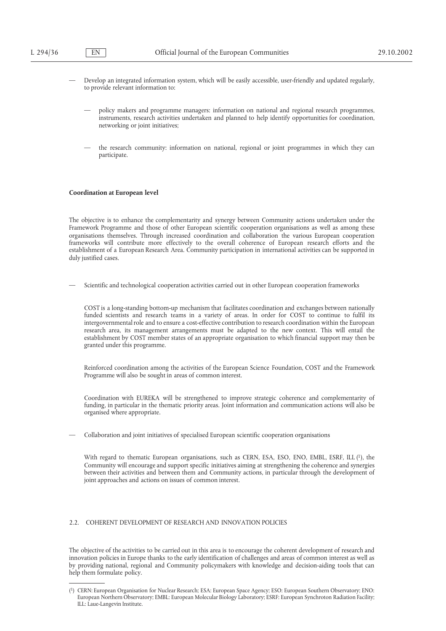- Develop an integrated information system, which will be easily accessible, user-friendly and updated regularly, to provide relevant information to:
	- policy makers and programme managers: information on national and regional research programmes, instruments, research activities undertaken and planned to help identify opportunities for coordination, networking or joint initiatives;
	- the research community: information on national, regional or joint programmes in which they can participate.

#### **Coordination at European level**

The objective is to enhance the complementarity and synergy between Community actions undertaken under the Framework Programme and those of other European scientific cooperation organisations as well as among these organisations themselves. Through increased coordination and collaboration the various European cooperation frameworks will contribute more effectively to the overall coherence of European research efforts and the establishment of a European Research Area. Community participation in international activities can be supported in duly justified cases.

— Scientific and technological cooperation activities carried out in other European cooperation frameworks

COST is a long-standing bottom-up mechanism that facilitates coordination and exchanges between nationally funded scientists and research teams in a variety of areas. In order for COST to continue to fulfil its intergovernmental role and to ensure a cost-effective contribution to research coordination within the European research area, its management arrangements must be adapted to the new context. This will entail the establishment by COST member states of an appropriate organisation to which financial support may then be granted under this programme.

Reinforced coordination among the activities of the European Science Foundation, COST and the Framework Programme will also be sought in areas of common interest.

Coordination with EUREKA will be strengthened to improve strategic coherence and complementarity of funding, in particular in the thematic priority areas. Joint information and communication actions will also be organised where appropriate.

— Collaboration and joint initiatives of specialised European scientific cooperation organisations

With regard to thematic European organisations, such as CERN, ESA, ESO, ENO, EMBL, ESRF, ILL (1), the Community will encourage and support specific initiatives aiming at strengthening the coherence and synergies between their activities and between them and Community actions, in particular through the development of joint approaches and actions on issues of common interest.

## 2.2. COHERENT DEVELOPMENT OF RESEARCH AND INNOVATION POLICIES

The objective of the activities to be carried out in this area is to encourage the coherent development of research and innovation policies in Europe thanks to the early identification of challenges and areas of common interest as well as by providing national, regional and Community policymakers with knowledge and decision-aiding tools that can help them formulate policy.

<sup>(1)</sup> CERN: European Organisation for Nuclear Research; ESA: European Space Agency; ESO: European Southern Observatory; ENO: European Northern Observatory; EMBL: European Molecular Biology Laboratory; ESRF: European Synchroton Radiation Facility; ILL: Laue-Langevin Institute.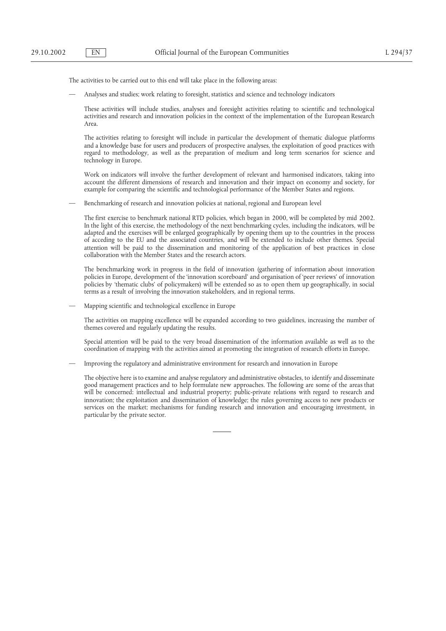The activities to be carried out to this end will take place in the following areas:

— Analyses and studies; work relating to foresight, statistics and science and technology indicators

These activities will include studies, analyses and foresight activities relating to scientific and technological activities and research and innovation policies in the context of the implementation of the European Research Area.

The activities relating to foresight will include in particular the development of thematic dialogue platforms and a knowledge base for users and producers of prospective analyses, the exploitation of good practices with regard to methodology, as well as the preparation of medium and long term scenarios for science and technology in Europe.

Work on indicators will involve the further development of relevant and harmonised indicators, taking into account the different dimensions of research and innovation and their impact on economy and society, for example for comparing the scientific and technological performance of the Member States and regions.

— Benchmarking of research and innovation policies at national, regional and European level

The first exercise to benchmark national RTD policies, which began in 2000, will be completed by mid 2002. In the light of this exercise, the methodology of the next benchmarking cycles, including the indicators, will be adapted and the exercises will be enlarged geographically by opening them up to the countries in the process of acceding to the EU and the associated countries, and will be extended to include other themes. Special attention will be paid to the dissemination and monitoring of the application of best practices in close collaboration with the Member States and the research actors.

The benchmarking work in progress in the field of innovation (gathering of information about innovation policies in Europe, development of the 'innovation scoreboard' and organisation of 'peer reviews' of innovation policies by 'thematic clubs' of policymakers) will be extended so as to open them up geographically, in social terms as a result of involving the innovation stakeholders, and in regional terms.

— Mapping scientific and technological excellence in Europe

The activities on mapping excellence will be expanded according to two guidelines, increasing the number of themes covered and regularly updating the results.

Special attention will be paid to the very broad dissemination of the information available as well as to the coordination of mapping with the activities aimed at promoting the integration of research efforts in Europe.

— Improving the regulatory and administrative environment for research and innovation in Europe

The objective here is to examine and analyse regulatory and administrative obstacles, to identify and disseminate good management practices and to help formulate new approaches. The following are some of the areas that will be concerned: intellectual and industrial property; public-private relations with regard to research and innovation; the exploitation and dissemination of knowledge; the rules governing access to new products or services on the market; mechanisms for funding research and innovation and encouraging investment, in particular by the private sector.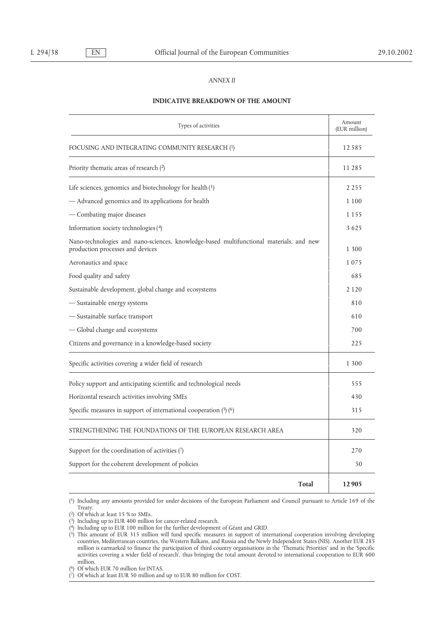# *ANNEX II*

#### **INDICATIVE BREAKDOWN OF THE AMOUNT**

| Types of activities                                                                                                         | Amount<br>(EUR million) |
|-----------------------------------------------------------------------------------------------------------------------------|-------------------------|
| FOCUSING AND INTEGRATING COMMUNITY RESEARCH (1)                                                                             | 12585                   |
| Priority thematic areas of research $(2)$                                                                                   | 11 285                  |
| Life sciences, genomics and biotechnology for health(3)                                                                     | 2 2 5 5                 |
| - Advanced genomics and its applications for health                                                                         | 1 1 0 0                 |
| - Combating major diseases                                                                                                  | 1 1 5 5                 |
| Information society technologies (4)                                                                                        | 3625                    |
| Nano-technologies and nano-sciences, knowledge-based multifunctional materials, and new<br>production processes and devices | 1 300                   |
| Aeronautics and space                                                                                                       | 1075                    |
| Food quality and safety                                                                                                     | 685                     |
| Sustainable development, global change and ecosystems                                                                       | 2 1 2 0                 |
| - Sustainable energy systems                                                                                                | 810                     |
| - Sustainable surface transport                                                                                             | 610                     |
| -Global change and ecosystems                                                                                               | 700                     |
| Citizens and governance in a knowledge-based society                                                                        | 225                     |
| Specific activities covering a wider field of research                                                                      | 1 300                   |
| Policy support and anticipating scientific and technological needs                                                          | 555                     |
| Horizontal research activities involving SMEs                                                                               | 430                     |
| Specific measures in support of international cooperation $(5)(6)$                                                          | 315                     |
| STRENGTHENING THE FOUNDATIONS OF THE EUROPEAN RESEARCH AREA                                                                 | 320                     |
| Support for the coordination of activities $(7)$                                                                            | 270                     |
| Support for the coherent development of policies                                                                            | 50                      |
| <b>Total</b>                                                                                                                | 12905                   |

(1) Including any amounts provided for under decisions of the European Parliament and Council pursuant to Article 169 of the Treaty.

(2) Of which at least 15 % to SMEs.

<sup>(3)</sup> Including up to EUR 400 million for cancer-related research.

<sup>(4)</sup> Including up to EUR 100 million for the further development of Géant and GRID.

<sup>(5)</sup> This amount of EUR 315 million will fund specific measures in support of international cooperation involving developing countries, Mediterranean countries, the Western Balkans, and Russia and the Newly Independent States (NIS). Another EUR 285 million is earmarked to finance the participation of third country organisations in the 'Thematic Priorities' and in the 'Specific activities covering a wider field of research', thus bringing the total amount devoted to international cooperation to EUR 600 million.

<sup>(6)</sup> Of which EUR 70 million for INTAS.

<sup>(7)</sup> Of which at least EUR 50 million and up to EUR 80 million for COST.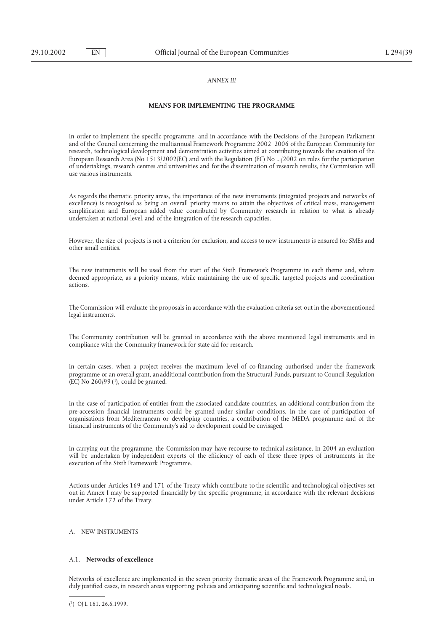## *ANNEX III*

#### **MEANS FOR IMPLEMENTING THE PROGRAMME**

In order to implement the specific programme, and in accordance with the Decisions of the European Parliament and of the Council concerning the multiannual Framework Programme 2002–2006 of the European Community for research, technological development and demonstration activities aimed at contributing towards the creation of the European Research Area (No 1513/2002/EC) and with the Regulation (EC) No .../2002 on rules for the participation of undertakings, research centres and universities and for the dissemination of research results, the Commission will use various instruments.

As regards the thematic priority areas, the importance of the new instruments (integrated projects and networks of excellence) is recognised as being an overall priority means to attain the objectives of critical mass, management simplification and European added value contributed by Community research in relation to what is already undertaken at national level, and of the integration of the research capacities.

However, the size of projects is not a criterion for exclusion, and access to new instruments is ensured for SMEs and other small entities.

The new instruments will be used from the start of the Sixth Framework Programme in each theme and, where deemed appropriate, as a priority means, while maintaining the use of specific targeted projects and coordination actions.

The Commission will evaluate the proposals in accordance with the evaluation criteria set out in the abovementioned legal instruments.

The Community contribution will be granted in accordance with the above mentioned legal instruments and in compliance with the Community framework for state aid for research.

In certain cases, when a project receives the maximum level of co-financing authorised under the framework programme or an overall grant, an additional contribution from the Structural Funds, pursuant to Council Regulation  $(EC)$  No 260/99(1), could be granted.

In the case of participation of entities from the associated candidate countries, an additional contribution from the pre-accession financial instruments could be granted under similar conditions. In the case of participation of organisations from Mediterranean or developing countries, a contribution of the MEDA programme and of the financial instruments of the Community's aid to development could be envisaged.

In carrying out the programme, the Commission may have recourse to technical assistance. In 2004 an evaluation will be undertaken by independent experts of the efficiency of each of these three types of instruments in the execution of the Sixth Framework Programme.

Actions under Articles 169 and 171 of the Treaty which contribute to the scientific and technological objectives set out in Annex I may be supported financially by the specific programme, in accordance with the relevant decisions under Article 172 of the Treaty.

## A. NEW INSTRUMENTS

## A.1. **Networks of excellence**

Networks of excellence are implemented in the seven priority thematic areas of the Framework Programme and, in duly justified cases, in research areas supporting policies and anticipating scientific and technological needs.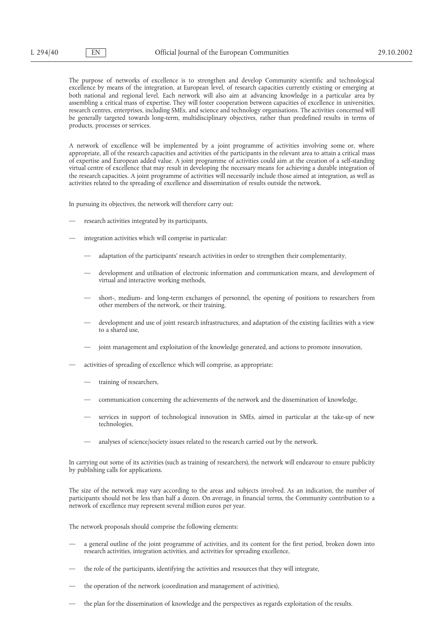The purpose of networks of excellence is to strengthen and develop Community scientific and technological excellence by means of the integration, at European level, of research capacities currently existing or emerging at both national and regional level. Each network will also aim at advancing knowledge in a particular area by assembling a critical mass of expertise. They will foster cooperation between capacities of excellence in universities, research centres, enterprises, including SMEs, and science and technology organisations. The activities concerned will be generally targeted towards long-term, multidisciplinary objectives, rather than predefined results in terms of products, processes or services.

A network of excellence will be implemented by a joint programme of activities involving some or, where appropriate, all of the research capacities and activities of the participants in the relevant area to attain a critical mass of expertise and European added value. A joint programme of activities could aim at the creation of a self-standing virtual centre of excellence that may result in developing the necessary means for achieving a durable integration of the research capacities. A joint programme of activities will necessarily include those aimed at integration, as well as activities related to the spreading of excellence and dissemination of results outside the network.

In pursuing its objectives, the network will therefore carry out:

- research activities integrated by its participants,
- integration activities which will comprise in particular:
	- adaptation of the participants' research activities in order to strengthen their complementarity,
	- development and utilisation of electronic information and communication means, and development of virtual and interactive working methods,
	- short-, medium- and long-term exchanges of personnel, the opening of positions to researchers from other members of the network, or their training,
	- development and use of joint research infrastructures, and adaptation of the existing facilities with a view to a shared use,
	- joint management and exploitation of the knowledge generated, and actions to promote innovation,
- activities of spreading of excellence which will comprise, as appropriate:
	- training of researchers,
	- communication concerning the achievements of the network and the dissemination of knowledge,
	- services in support of technological innovation in SMEs, aimed in particular at the take-up of new technologies,
	- analyses of science/society issues related to the research carried out by the network.

In carrying out some of its activities (such as training of researchers), the network will endeavour to ensure publicity by publishing calls for applications.

The size of the network may vary according to the areas and subjects involved. As an indication, the number of participants should not be less than half a dozen. On average, in financial terms, the Community contribution to a network of excellence may represent several million euros per year.

The network proposals should comprise the following elements:

- a general outline of the joint programme of activities, and its content for the first period, broken down into research activities, integration activities, and activities for spreading excellence,
- the role of the participants, identifying the activities and resources that they will integrate,
- the operation of the network (coordination and management of activities),
- the plan for the dissemination of knowledge and the perspectives as regards exploitation of the results.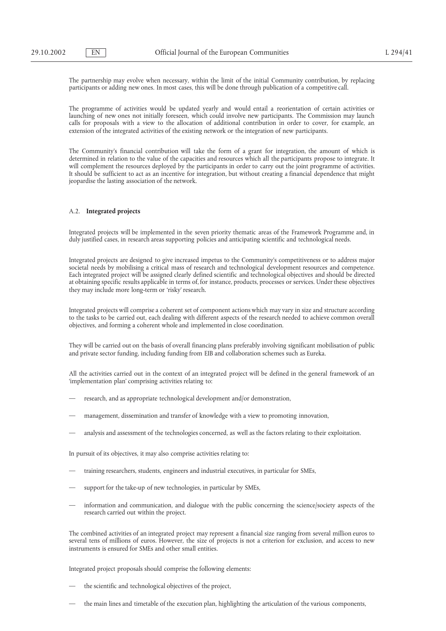The partnership may evolve when necessary, within the limit of the initial Community contribution, by replacing participants or adding new ones. In most cases, this will be done through publication of a competitive call.

The programme of activities would be updated yearly and would entail a reorientation of certain activities or launching of new ones not initially foreseen, which could involve new participants. The Commission may launch calls for proposals with a view to the allocation of additional contribution in order to cover, for example, an extension of the integrated activities of the existing network or the integration of new participants.

The Community's financial contribution will take the form of a grant for integration, the amount of which is determined in relation to the value of the capacities and resources which all the participants propose to integrate. It will complement the resources deployed by the participants in order to carry out the joint programme of activities. It should be sufficient to act as an incentive for integration, but without creating a financial dependence that might jeopardise the lasting association of the network.

## A.2. **Integrated projects**

Integrated projects will be implemented in the seven priority thematic areas of the Framework Programme and, in duly justified cases, in research areas supporting policies and anticipating scientific and technological needs.

Integrated projects are designed to give increased impetus to the Community's competitiveness or to address major societal needs by mobilising a critical mass of research and technological development resources and competence. Each integrated project will be assigned clearly defined scientific and technological objectives and should be directed at obtaining specific results applicable in terms of, for instance, products, processes or services. Under these objectives they may include more long-term or 'risky' research.

Integrated projects will comprise a coherent set of component actions which may vary in size and structure according to the tasks to be carried out, each dealing with different aspects of the research needed to achieve common overall objectives, and forming a coherent whole and implemented in close coordination.

They will be carried out on the basis of overall financing plans preferably involving significant mobilisation of public and private sector funding, including funding from EIB and collaboration schemes such as Eureka.

All the activities carried out in the context of an integrated project will be defined in the general framework of an 'implementation plan' comprising activities relating to:

- research, and as appropriate technological development and/or demonstration,
- management, dissemination and transfer of knowledge with a view to promoting innovation,
- analysis and assessment of the technologies concerned, as well as the factors relating to their exploitation.

In pursuit of its objectives, it may also comprise activities relating to:

- training researchers, students, engineers and industrial executives, in particular for SMEs,
- support for the take-up of new technologies, in particular by SMEs,
- information and communication, and dialogue with the public concerning the science/society aspects of the research carried out within the project.

The combined activities of an integrated project may represent a financial size ranging from several million euros to several tens of millions of euros. However, the size of projects is not a criterion for exclusion, and access to new instruments is ensured for SMEs and other small entities.

Integrated project proposals should comprise the following elements:

- the scientific and technological objectives of the project,
- the main lines and timetable of the execution plan, highlighting the articulation of the various components,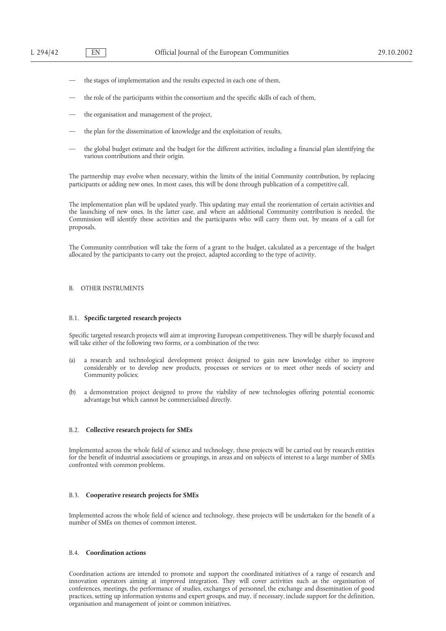- the stages of implementation and the results expected in each one of them,
- the role of the participants within the consortium and the specific skills of each of them,
- the organisation and management of the project,
- the plan for the dissemination of knowledge and the exploitation of results,
- the global budget estimate and the budget for the different activities, including a financial plan identifying the various contributions and their origin.

The partnership may evolve when necessary, within the limits of the initial Community contribution, by replacing participants or adding new ones. In most cases, this will be done through publication of a competitive call.

The implementation plan will be updated yearly. This updating may entail the reorientation of certain activities and the launching of new ones. In the latter case, and where an additional Community contribution is needed, the Commission will identify these activities and the participants who will carry them out, by means of a call for proposals.

The Community contribution will take the form of a grant to the budget, calculated as a percentage of the budget allocated by the participants to carry out the project, adapted according to the type of activity.

## B. OTHER INSTRUMENTS

#### B.1. **Specific targeted research projects**

Specific targeted research projects will aim at improving European competitiveness. They will be sharply focused and will take either of the following two forms, or a combination of the two:

- (a) a research and technological development project designed to gain new knowledge either to improve considerably or to develop new products, processes or services or to meet other needs of society and Community policies;
- (b) a demonstration project designed to prove the viability of new technologies offering potential economic advantage but which cannot be commercialised directly.

## B.2. **Collective research projects for SMEs**

Implemented across the whole field of science and technology, these projects will be carried out by research entities for the benefit of industrial associations or groupings, in areas and on subjects of interest to a large number of SMEs confronted with common problems.

## B.3. **Cooperative research projects for SMEs**

Implemented across the whole field of science and technology, these projects will be undertaken for the benefit of a number of SMEs on themes of common interest.

## B.4. **Coordination actions**

Coordination actions are intended to promote and support the coordinated initiatives of a range of research and innovation operators aiming at improved integration. They will cover activities such as the organisation of conferences, meetings, the performance of studies, exchanges of personnel, the exchange and dissemination of good practices, setting up information systems and expert groups, and may, if necessary, include support for the definition, organisation and management of joint or common initiatives.